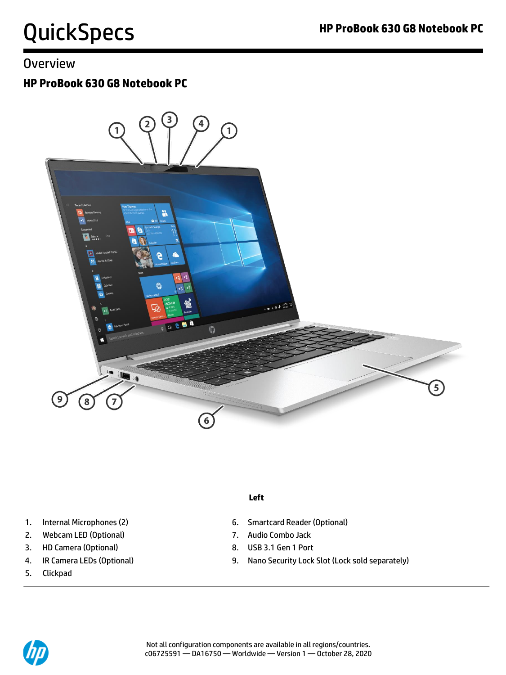### **Overview**

### **HP ProBook 630 G8 Notebook PC**



- 
- 2. Webcam LED (Optional) 7. Audio Combo Jack
- 3. HD Camera (Optional) 8. USB 3.1 Gen 1 Port
- 
- 5. Clickpad

#### **Left**

- 1. Internal Microphones (2) **6. Smartcard Reader (Optional)** 
	-
	-
- 4. IR Camera LEDs (Optional) 9. Nano Security Lock Slot (Lock sold separately)

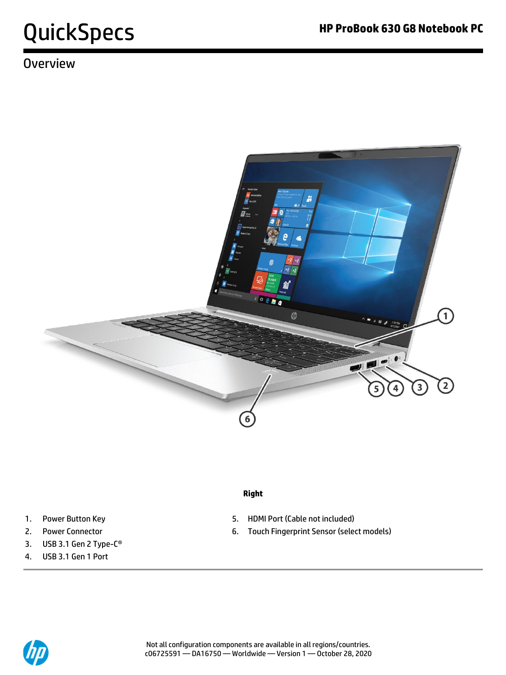## **Overview**



#### **Right**

- 1. Power Button Key **1. Accord 1. Accord 1. Accord 1.** Power Button Key
- 2. Power Connector **6. Touch Fingerprint Sensor (select models)**
- 
- 
- 3. USB 3.1 Gen 2 Type-C®
- 4. USB 3.1 Gen 1 Port

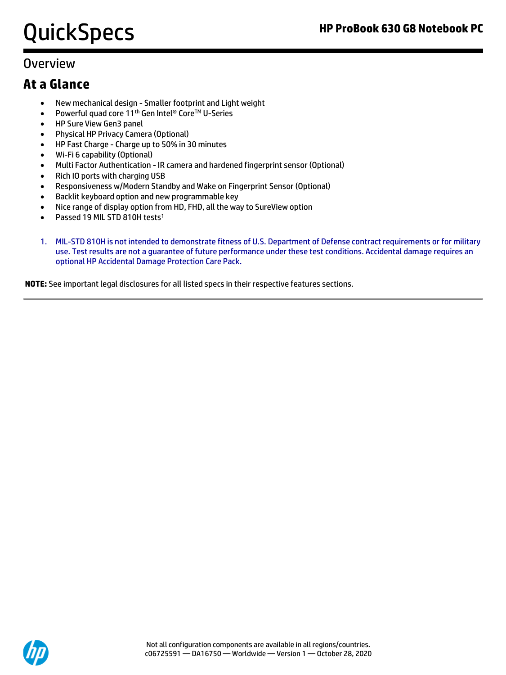### **Overview**

### **At a Glance**

- New mechanical design Smaller footprint and Light weight
- Powerful quad core 11<sup>th</sup> Gen Intel<sup>®</sup> Core<sup>™</sup> U-Series
- HP Sure View Gen3 panel
- Physical HP Privacy Camera (Optional)
- HP Fast Charge Charge up to 50% in 30 minutes
- Wi-Fi 6 capability (Optional)
- Multi Factor Authentication IR camera and hardened fingerprint sensor (Optional)
- Rich IO ports with charging USB
- Responsiveness w/Modern Standby and Wake on Fingerprint Sensor (Optional)
- Backlit keyboard option and new programmable key
- Nice range of display option from HD, FHD, all the way to SureView option
- Passed 19 MIL STD 810H tests<sup>1</sup>
- 1. MIL-STD 810H is not intended to demonstrate fitness of U.S. Department of Defense contract requirements or for military use. Test results are not a guarantee of future performance under these test conditions. Accidental damage requires an optional HP Accidental Damage Protection Care Pack.

**NOTE:** See important legal disclosures for all listed specs in their respective features sections.

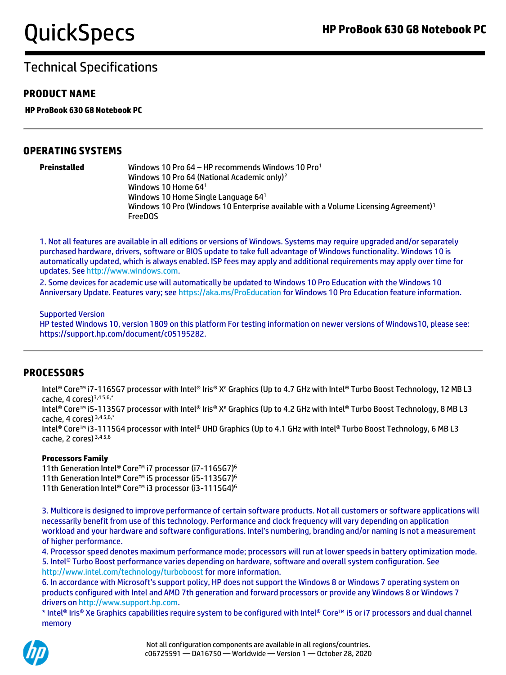#### **PRODUCT NAME**

**HP ProBook 630 G8 Notebook PC**

#### **OPERATING SYSTEMS**

| Preinstalled |  |  |
|--------------|--|--|
|              |  |  |
|              |  |  |
|              |  |  |
|              |  |  |

**Preinstalled** Windows 10 Pro 64 – HP recommends Windows 10 Pro<sup>1</sup> Windows 10 Pro 64 (National Academic only)<sup>2</sup> Windows 10 Home 64<sup>1</sup> Windows 10 Home Single Language 64<sup>1</sup> Windows 10 Pro (Windows 10 Enterprise available with a Volume Licensing Agreement)<sup>1</sup> FreeDOS

1. Not all features are available in all editions or versions of Windows. Systems may require upgraded and/or separately purchased hardware, drivers, software or BIOS update to take full advantage of Windows functionality. Windows 10 is automatically updated, which is always enabled. ISP fees may apply and additional requirements may apply over time for updates. See [http://www.windows.com.](http://www.windows.com/)

2. Some devices for academic use will automatically be updated to Windows 10 Pro Education with the Windows 10 Anniversary Update. Features vary; se[e https://aka.ms/ProEducation](https://aka.ms/ProEducation) for Windows 10 Pro Education feature information.

#### Supported Version

HP tested Windows 10, version 1809 on this platform For testing information on newer versions of Windows10, please see: https://support.hp.com/document/c05195282.

#### **PROCESSORS**

Intel® Core™ i7-1165G7 processor with Intel® Iris® X<sup>e</sup> Graphics (Up to 4.7 GHz with Intel® Turbo Boost Technology, 12 MB L3 cache, 4 cores) $3,45,6,*$ 

Intel® Core™ i5-1135G7 processor with Intel® Iris® X<sup>e</sup> Graphics (Up to 4.2 GHz with Intel® Turbo Boost Technology, 8 MB L3 cache, 4 cores) 3,4 5,6,\*

Intel® Core™ i3-1115G4 processor with Intel® UHD Graphics (Up to 4.1 GHz with Intel® Turbo Boost Technology, 6 MB L3 cache, 2 cores) 3,4 5,6

#### **Processors Family**

11th Generation Intel® Core™ i7 processor (i7-1165G7) 6 11th Generation Intel® Core™ i5 processor (i5-1135G7) 6 11th Generation Intel® Core™ i3 processor (i3-1115G4) 6

3. Multicore is designed to improve performance of certain software products. Not all customers or software applications will necessarily benefit from use of this technology. Performance and clock frequency will vary depending on application workload and your hardware and software configurations. Intel's numbering, branding and/or naming is not a measurement of higher performance.

4. Processor speed denotes maximum performance mode; processors will run at lower speeds in battery optimization mode. 5. Intel® Turbo Boost performance varies depending on hardware, software and overall system configuration. See http://www.intel.com/technology/turboboost for more information.

6. In accordance with Microsoft's support policy, HP does not support the Windows 8 or Windows 7 operating system on products configured with Intel and AMD 7th generation and forward processors or provide any Windows 8 or Windows 7 drivers o[n http://www.support.hp.com.](http://www.support.hp.com/)

\* Intel® Iris® Xe Graphics capabilities require system to be configured with Intel® Core™ i5 or i7 processors and dual channel memory

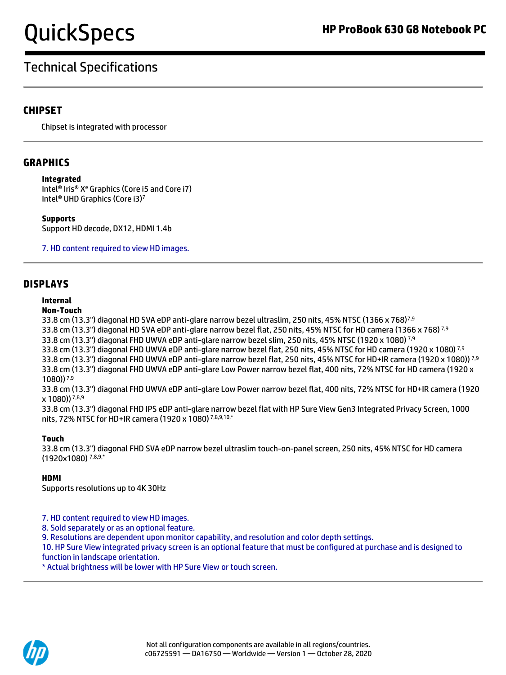## Technical Specifications

#### **CHIPSET**

Chipset is integrated with processor

#### **GRAPHICS**

#### **Integrated**

Intel® Iris® X<sup>e</sup> Graphics (Core i5 and Core i7) Intel® UHD Graphics (Core i3)<sup>7</sup>

**Supports**  Support HD decode, DX12, HDMI 1.4b

7. HD content required to view HD images.

#### **DISPLAYS**

#### **Internal**

#### **Non-Touch**

33.8 cm (13.3") diagonal HD SVA eDP anti-glare narrow bezel ultraslim, 250 nits, 45% NTSC (1366 x 768)<sup>7,9</sup> 33.8 cm (13.3") diagonal HD SVA eDP anti-glare narrow bezel flat, 250 nits, 45% NTSC for HD camera (1366 x 768)<sup>7,9</sup> 33.8 cm (13.3") diagonal FHD UWVA eDP anti-glare narrow bezel slim, 250 nits, 45% NTSC (1920 x 1080) 7,9 33.8 cm (13.3") diagonal FHD UWVA eDP anti-glare narrow bezel flat, 250 nits, 45% NTSC for HD camera (1920 x 1080)<sup>7,9</sup> 33.8 cm (13.3") diagonal FHD UWVA eDP anti-glare narrow bezel flat, 250 nits, 45% NTSC for HD+IR camera (1920 x 1080)) 7.9 33.8 cm (13.3") diagonal FHD UWVA eDP anti-glare Low Power narrow bezel flat, 400 nits, 72% NTSC for HD camera (1920 x 1080)) 7,9

33.8 cm (13.3") diagonal FHD UWVA eDP anti-glare Low Power narrow bezel flat, 400 nits, 72% NTSC for HD+IR camera (1920  $x 1080$ ))  $7,8,9$ 

33.8 cm (13.3") diagonal FHD IPS eDP anti-glare narrow bezel flat with HP Sure View Gen3 Integrated Privacy Screen, 1000 nits, 72% NTSC for HD+IR camera (1920 x 1080) 7,8,9,10,\*

#### **Touch**

33.8 cm (13.3") diagonal FHD SVA eDP narrow bezel ultraslim touch-on-panel screen, 250 nits, 45% NTSC for HD camera (1920x1080) 7,8,9,\*

#### **HDMI**

Supports resolutions up to 4K 30Hz

7. HD content required to view HD images.

8. Sold separately or as an optional feature.

9. Resolutions are dependent upon monitor capability, and resolution and color depth settings.

10. HP Sure View integrated privacy screen is an optional feature that must be configured at purchase and is designed to function in landscape orientation.

\* Actual brightness will be lower with HP Sure View or touch screen.

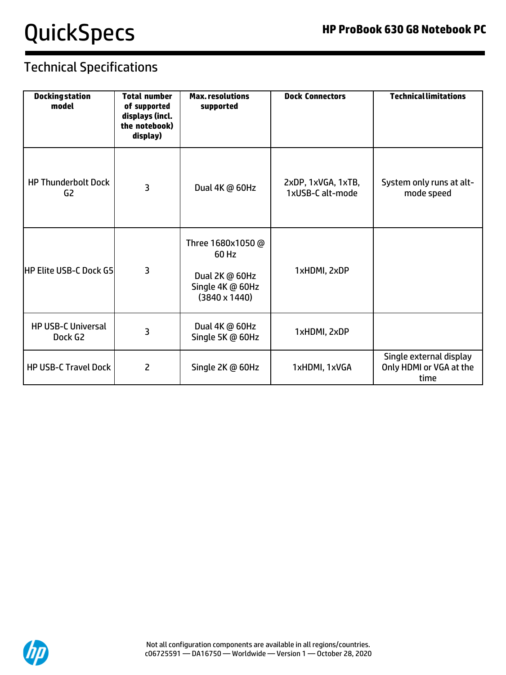| <b>Docking station</b><br>model                  | <b>Total number</b><br>of supported<br>displays (incl.<br>the notebook)<br>display) | <b>Max.resolutions</b><br>supported                                                      | <b>Dock Connectors</b>                 | <b>Technical limitations</b>                               |
|--------------------------------------------------|-------------------------------------------------------------------------------------|------------------------------------------------------------------------------------------|----------------------------------------|------------------------------------------------------------|
| <b>HP Thunderbolt Dock</b><br>G2                 | 3                                                                                   | Dual 4K @ 60Hz                                                                           | 2xDP, 1xVGA, 1xTB,<br>1xUSB-C alt-mode | System only runs at alt-<br>mode speed                     |
| <b>HP Elite USB-C Dock G5</b>                    | 3                                                                                   | Three 1680x1050 @<br>60 Hz<br>Dual 2K @ 60Hz<br>Single 4K @ 60Hz<br>$(3840 \times 1440)$ | 1xHDMI, 2xDP                           |                                                            |
| <b>HP USB-C Universal</b><br>Dock G <sub>2</sub> | 3                                                                                   | Dual 4K @ 60Hz<br>Single 5K @ 60Hz                                                       | 1xHDMI, 2xDP                           |                                                            |
| <b>HP USB-C Travel Dock</b>                      | 2                                                                                   | Single 2K @ 60Hz                                                                         | 1xHDMI, 1xVGA                          | Single external display<br>Only HDMI or VGA at the<br>time |

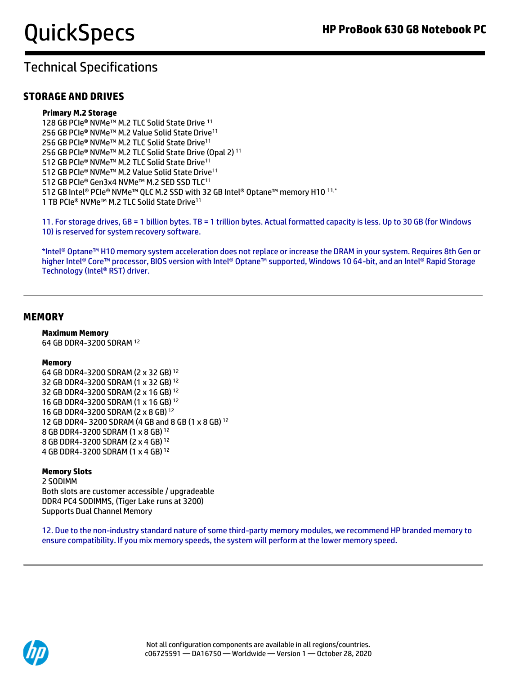#### **STORAGE AND DRIVES**

#### **Primary M.2 Storage**

128 GB PCIe® NVMe™ M.2 TLC Solid State Drive <sup>11</sup> 256 GB PCIe® NVMe™ M.2 Value Solid State Drive<sup>11</sup> 256 GB PCIe® NVMe™ M.2 TLC Solid State Drive<sup>11</sup> 256 GB PCIe® NVMe™ M.2 TLC Solid State Drive (Opal 2)<sup>11</sup> 512 GB PCIe® NVMe™ M.2 TLC Solid State Drive<sup>11</sup> 512 GB PCIe® NVMe™ M.2 Value Solid State Drive<sup>11</sup> 512 GB PCIe® Gen3x4 NVMe™ M.2 SED SSD TLC<sup>11</sup> 512 GB Intel® PCIe® NVMe™ QLC M.2 SSD with 32 GB Intel® Optane™ memory H10 11,\* 1 TB PCIe® NVMe™ M.2 TLC Solid State Drive<sup>11</sup>

11. For storage drives, GB = 1 billion bytes. TB = 1 trillion bytes. Actual formatted capacity is less. Up to 30 GB (for Windows 10) is reserved for system recovery software.

\*Intel® Optane™ H10 memory system acceleration does not replace or increase the DRAM in your system. Requires 8th Gen or higher Intel® Core™ processor, BIOS version with Intel® Optane™ supported, Windows 10 64-bit, and an Intel® Rapid Storage Technology (Intel® RST) driver.

#### **MEMORY**

#### **Maximum Memory**

64 GB DDR4-3200 SDRAM <sup>12</sup>

#### **Memory**

64 GB DDR4-3200 SDRAM (2 x 32 GB) <sup>12</sup> 32 GB DDR4-3200 SDRAM (1 x 32 GB) <sup>12</sup> 32 GB DDR4-3200 SDRAM (2 x 16 GB) <sup>12</sup> 16 GB DDR4-3200 SDRAM (1 x 16 GB) <sup>12</sup> 16 GB DDR4-3200 SDRAM (2 x 8 GB) <sup>12</sup> 12 GB DDR4- 3200 SDRAM (4 GB and 8 GB (1 x 8 GB) <sup>12</sup> 8 GB DDR4-3200 SDRAM (1 x 8 GB) <sup>12</sup> 8 GB DDR4-3200 SDRAM (2 x 4 GB) <sup>12</sup> 4 GB DDR4-3200 SDRAM (1 x 4 GB) <sup>12</sup>

#### **Memory Slots**

2 SODIMM Both slots are customer accessible / upgradeable DDR4 PC4 SODIMMS, (Tiger Lake runs at 3200) Supports Dual Channel Memory

12. Due to the non-industry standard nature of some third-party memory modules, we recommend HP branded memory to ensure compatibility. If you mix memory speeds, the system will perform at the lower memory speed.

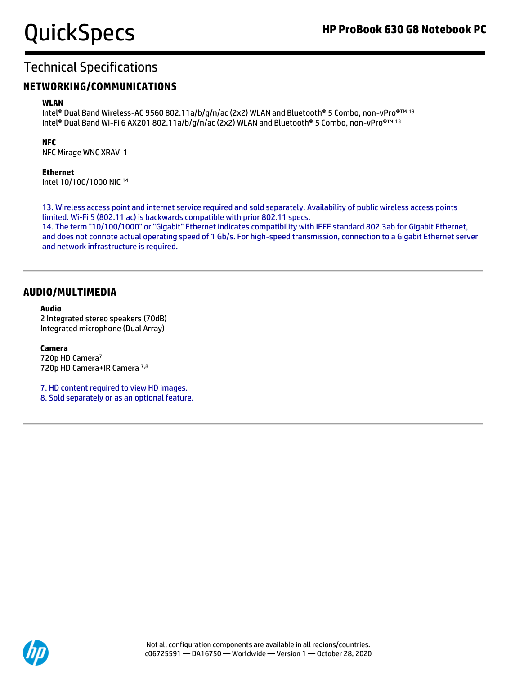#### **NETWORKING/COMMUNICATIONS**

#### **WLAN**

Intel® Dual Band Wireless-AC 9560 802.11a/b/g/n/ac (2x2) WLAN and Bluetooth® 5 Combo, non-vPro® TM 13 Intel® Dual Band Wi-Fi 6 AX201 802.11a/b/g/n/ac (2x2) WLAN and Bluetooth® 5 Combo, non-vPro®™ <sup>13</sup>

#### **NFC**

NFC Mirage WNC XRAV-1

#### **Ethernet**

Intel 10/100/1000 NIC <sup>14</sup>

13. Wireless access point and internet service required and sold separately. Availability of public wireless access points limited. Wi-Fi 5 (802.11 ac) is backwards compatible with prior 802.11 specs.

14. The term "10/100/1000" or "Gigabit" Ethernet indicates compatibility with IEEE standard 802.3ab for Gigabit Ethernet, and does not connote actual operating speed of 1 Gb/s. For high-speed transmission, connection to a Gigabit Ethernet server and network infrastructure is required.

#### **AUDIO/MULTIMEDIA**

#### **Audio**

2 Integrated stereo speakers (70dB) Integrated microphone (Dual Array)

#### **Camera**

720p HD Camera<sup>7</sup> 720p HD Camera+IR Camera 7,8

7. HD content required to view HD images. 8. Sold separately or as an optional feature.

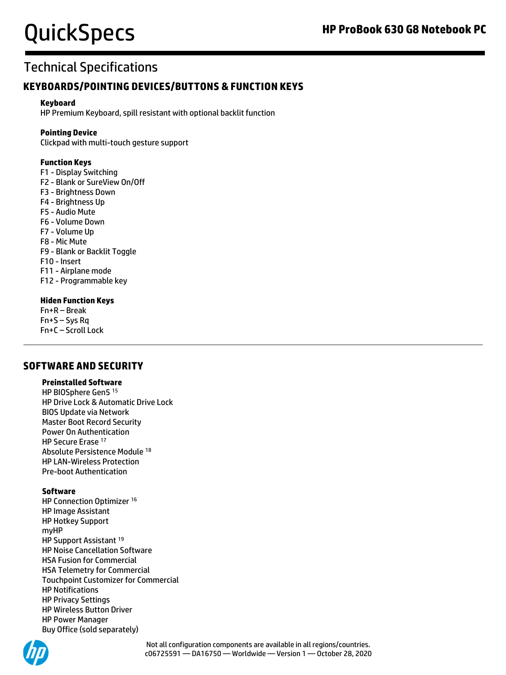### Technical Specifications

#### **KEYBOARDS/POINTING DEVICES/BUTTONS & FUNCTION KEYS**

#### **Keyboard**

HP Premium Keyboard, spill resistant with optional backlit function

#### **Pointing Device**

Clickpad with multi-touch gesture support

#### **Function Keys**

F1 - Display Switching F2 - Blank or SureView On/Off F3 - Brightness Down F4 - Brightness Up F5 - Audio Mute F6 - Volume Down F7 - Volume Up F8 - Mic Mute F9 - Blank or Backlit Toggle F10 - Insert F11 - Airplane mode F12 - Programmable key

#### **Hiden Function Keys**

Fn+R – Break Fn+S – Sys Rq Fn+C – Scroll Lock

#### **SOFTWARE AND SECURITY**

#### **Preinstalled Software**

HP BIOSphere Gen5 <sup>15</sup> HP Drive Lock & Automatic Drive Lock BIOS Update via Network Master Boot Record Security Power On Authentication HP Secure Erase <sup>17</sup> Absolute Persistence Module <sup>18</sup> HP LAN-Wireless Protection Pre-boot Authentication

#### **Software**

HP Connection Optimizer <sup>16</sup> HP Image Assistant HP Hotkey Support myHP HP Support Assistant <sup>19</sup> HP Noise Cancellation Software HSA Fusion for Commercial HSA Telemetry for Commercial Touchpoint Customizer for Commercial HP Notifications HP Privacy Settings HP Wireless Button Driver HP Power Manager Buy Office (sold separately)

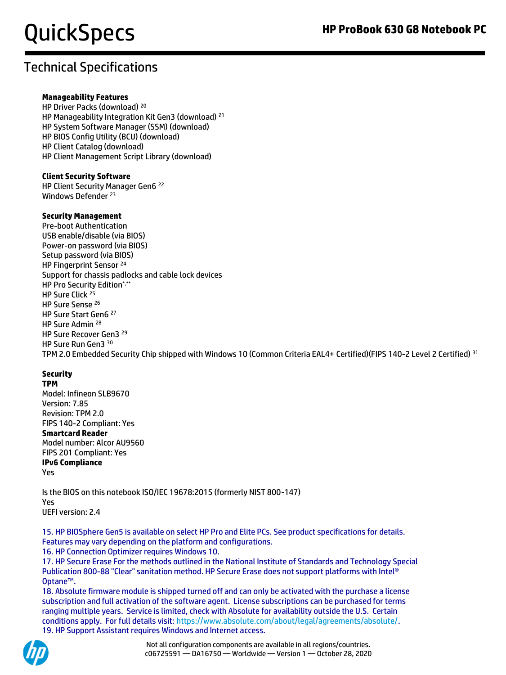#### **Manageability Features**

HP Driver Packs (download) <sup>20</sup> HP Manageability Integration Kit Gen3 (download) <sup>21</sup> HP System Software Manager (SSM) (download) HP BIOS Config Utility (BCU) (download) HP Client Catalog (download) HP Client Management Script Library (download)

#### **Client Security Software**

HP Client Security Manager Gen6 <sup>22</sup> Windows Defender <sup>23</sup>

#### **Security Management**

Pre-boot Authentication USB enable/disable (via BIOS) Power-on password (via BIOS) Setup password (via BIOS) HP Fingerprint Sensor<sup>24</sup> Support for chassis padlocks and cable lock devices HP Pro Security Edition\*,\*\* HP Sure Click<sup>25</sup> HP Sure Sense <sup>26</sup> HP Sure Start Gen6 <sup>27</sup> HP Sure Admin <sup>28</sup> HP Sure Recover Gen3 <sup>29</sup> HP Sure Run Gen3 <sup>30</sup> TPM 2.0 Embedded Security Chip shipped with Windows 10 (Common Criteria EAL4+ Certified)(FIPS 140-2 Level 2 Certified) <sup>31</sup>

#### **Security**

**TPM** 

Model: Infineon SLB9670 Version: 7.85 Revision: TPM 2.0 FIPS 140-2 Compliant: Yes

#### **Smartcard Reader**

Model number: Alcor AU9560 FIPS 201 Compliant: Yes **IPv6 Compliance** Yes

Is the BIOS on this notebook ISO/IEC 19678:2015 (formerly NIST 800-147) Yes UEFI version: 2.4

15. HP BIOSphere Gen5 is available on select HP Pro and Elite PCs. See product specifications for details. Features may vary depending on the platform and configurations.

16. HP Connection Optimizer requires Windows 10.

17. HP Secure Erase For the methods outlined in the National Institute of Standards and Technology Special Publication 800-88 "Clear" sanitation method. HP Secure Erase does not support platforms with Intel® Optane™.

18. Absolute firmware module is shipped turned off and can only be activated with the purchase a license subscription and full activation of the software agent. License subscriptions can be purchased for terms ranging multiple years. Service is limited, check with Absolute for availability outside the U.S. Certain conditions apply. For full details visit: [https://www.absolute.com/about/legal/agreements/absolute/.](https://www.absolute.com/about/legal/agreements/absolute/) 19. HP Support Assistant requires Windows and Internet access.

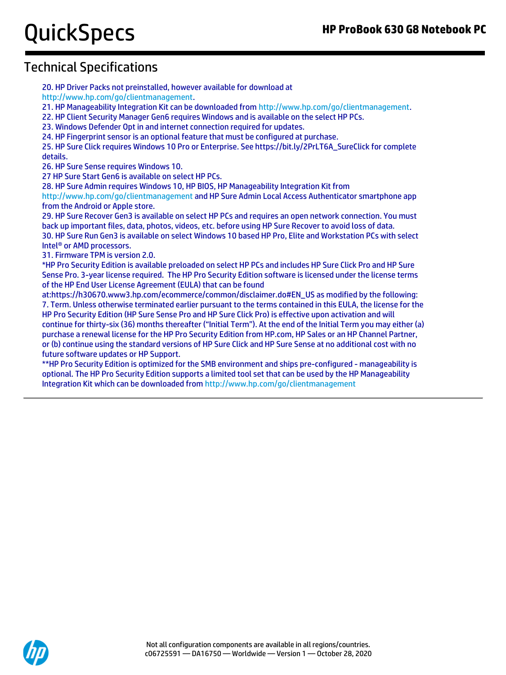### Technical Specifications

20. HP Driver Packs not preinstalled, however available for download at

[http://www.hp.com/go/clientmanagement.](http://www.hp.com/go/clientmanagement)

21. HP Manageability Integration Kit can be downloaded fro[m http://www.hp.com/go/clientmanagement.](http://www.hp.com/go/clientmanagement)

22. HP Client Security Manager Gen6 requires Windows and is available on the select HP PCs.

23. Windows Defender Opt in and internet connection required for updates.

24. HP Fingerprint sensor is an optional feature that must be configured at purchase.

25. HP Sure Click requires Windows 10 Pro or Enterprise. See https://bit.ly/2PrLT6A\_SureClick for complete details.

26. HP Sure Sense requires Windows 10.

27 HP Sure Start Gen6 is available on select HP PCs.

28. HP Sure Admin requires Windows 10, HP BIOS, HP Manageability Integration Kit from

<http://www.hp.com/go/clientmanagement> and HP Sure Admin Local Access Authenticator smartphone app from the Android or Apple store.

29. HP Sure Recover Gen3 is available on select HP PCs and requires an open network connection. You must back up important files, data, photos, videos, etc. before using HP Sure Recover to avoid loss of data. 30. HP Sure Run Gen3 is available on select Windows 10 based HP Pro, Elite and Workstation PCs with select Intel® or AMD processors.

31. Firmware TPM is version 2.0.

\*HP Pro Security Edition is available preloaded on select HP PCs and includes HP Sure Click Pro and HP Sure Sense Pro. 3-year license required. The HP Pro Security Edition software is licensed under the license terms of the HP End User License Agreement (EULA) that can be found

at:https://h30670.www3.hp.com/ecommerce/common/disclaimer.do#EN\_US as modified by the following: 7. Term. Unless otherwise terminated earlier pursuant to the terms contained in this EULA, the license for the HP Pro Security Edition (HP Sure Sense Pro and HP Sure Click Pro) is effective upon activation and will continue for thirty-six (36) months thereafter ("Initial Term"). At the end of the Initial Term you may either (a) purchase a renewal license for the HP Pro Security Edition from HP.com, HP Sales or an HP Channel Partner, or (b) continue using the standard versions of HP Sure Click and HP Sure Sense at no additional cost with no future software updates or HP Support.

\*\*HP Pro Security Edition is optimized for the SMB environment and ships pre-configured - manageability is optional. The HP Pro Security Edition supports a limited tool set that can be used by the HP Manageability Integration Kit which can be downloaded fro[m http://www.hp.com/go/clientmanagement](http://www.hp.com/go/clientmanagement)

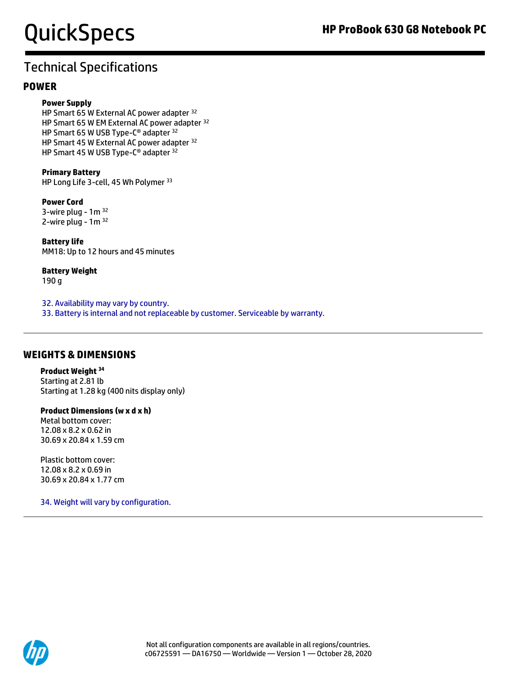## Technical Specifications

#### **POWER**

#### **Power Supply**

HP Smart 65 W External AC power adapter <sup>32</sup> HP Smart 65 W EM External AC power adapter <sup>32</sup> HP Smart 65 W USB Type-C® adapter <sup>32</sup> HP Smart 45 W External AC power adapter <sup>32</sup> HP Smart 45 W USB Type-C<sup>®</sup> adapter <sup>32</sup>

**Primary Battery**  HP Long Life 3-cell, 45 Wh Polymer <sup>33</sup>

#### **Power Cord**  3-wire plug -  $1<sup>m</sup>$  32

2-wire plug -  $1m^{32}$ 

**Battery life**  MM18: Up to 12 hours and 45 minutes

**Battery Weight**  190 g

32. Availability may vary by country. 33. Battery is internal and not replaceable by customer. Serviceable by warranty.

#### **WEIGHTS & DIMENSIONS**

**Product Weight <sup>34</sup>** Starting at 2.81 lb Starting at 1.28 kg (400 nits display only)

**Product Dimensions (w x d x h)** Metal bottom cover: 12.08 x 8.2 x 0.62 in

Plastic bottom cover: 12.08 x 8.2 x 0.69 in 30.69 x 20.84 x 1.77 cm

30.69 x 20.84 x 1.59 cm

34. Weight will vary by configuration.

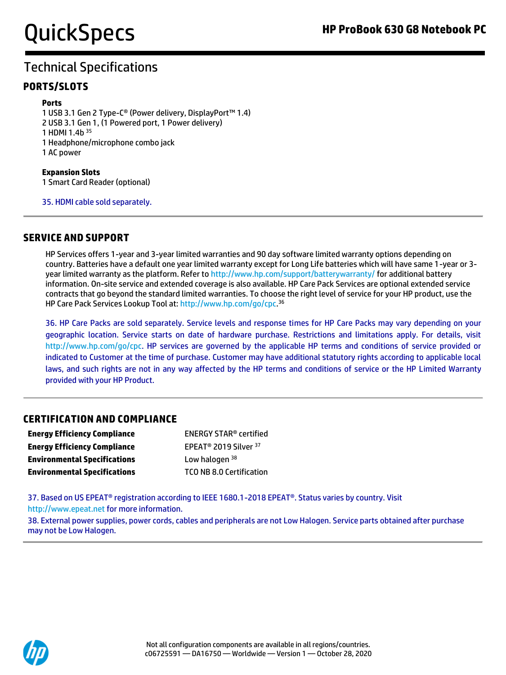#### **PORTS/SLOTS**

#### **Ports**

1 USB 3.1 Gen 2 Type-C® (Power delivery, DisplayPort™ 1.4) 2 USB 3.1 Gen 1, (1 Powered port, 1 Power delivery) 1 HDMI 1.4b <sup>35</sup> 1 Headphone/microphone combo jack 1 AC power

**Expansion Slots**  1 Smart Card Reader (optional)

35. HDMI cable sold separately.

#### **SERVICE AND SUPPORT**

HP Services offers 1-year and 3-year limited warranties and 90 day software limited warranty options depending on country. Batteries have a default one year limited warranty except for Long Life batteries which will have same 1-year or 3 year limited warranty as the platform. Refer t[o http://www.hp.com/support/batterywarranty/](http://www.hp.com/support/batterywarranty/) for additional battery information. On-site service and extended coverage is also available. HP Care Pack Services are optional extended service contracts that go beyond the standard limited warranties. To choose the right level of service for your HP product, use the HP Care Pack Services Lookup Tool at[: http://www.hp.com/go/cpc.](http://www.hp.com/go/cpc) 36

36. HP Care Packs are sold separately. Service levels and response times for HP Care Packs may vary depending on your geographic location. Service starts on date of hardware purchase. Restrictions and limitations apply. For details, visit http://www.hp.com/go/cpc. HP services are governed by the applicable HP terms and conditions of service provided or indicated to Customer at the time of purchase. Customer may have additional statutory rights according to applicable local laws, and such rights are not in any way affected by the HP terms and conditions of service or the HP Limited Warranty provided with your HP Product.

#### **CERTIFICATION AND COMPLIANCE**

| <b>Energy Efficiency Compliance</b> | <b>ENERGY STAR<sup>®</sup> certified</b>     |
|-------------------------------------|----------------------------------------------|
| <b>Energy Efficiency Compliance</b> | EPEAT <sup>®</sup> 2019 Silver <sup>37</sup> |
| <b>Environmental Specifications</b> | Low halogen 38                               |
| <b>Environmental Specifications</b> | <b>TCO NB 8.0 Certification</b>              |

37. Based on US EPEAT<sup>®</sup> registration according to IEEE 1680.1-2018 EPEAT<sup>®</sup>. Status varies by country. Visit http://www.epeat.net for more information.

38. External power supplies, power cords, cables and peripherals are not Low Halogen. Service parts obtained after purchase may not be Low Halogen.

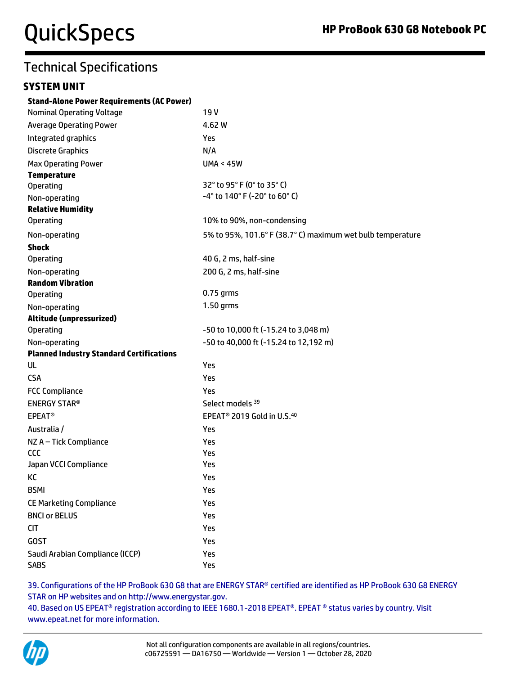#### **SYSTEM UNIT**

| <b>Stand-Alone Power Requirements (AC Power)</b> |                                                            |
|--------------------------------------------------|------------------------------------------------------------|
| <b>Nominal Operating Voltage</b>                 | 19 V                                                       |
| <b>Average Operating Power</b>                   | 4.62 W                                                     |
| Integrated graphics                              | Yes                                                        |
| <b>Discrete Graphics</b>                         | N/A                                                        |
| <b>Max Operating Power</b>                       | <b>UMA &lt; 45W</b>                                        |
| <b>Temperature</b>                               |                                                            |
| <b>Operating</b>                                 | 32° to 95° F (0° to 35° C)                                 |
| Non-operating                                    | -4° to 140° F (-20° to 60° C)                              |
| <b>Relative Humidity</b>                         |                                                            |
| <b>Operating</b>                                 | 10% to 90%, non-condensing                                 |
| Non-operating                                    | 5% to 95%, 101.6° F (38.7° C) maximum wet bulb temperature |
| <b>Shock</b>                                     |                                                            |
| <b>Operating</b>                                 | 40 G, 2 ms, half-sine                                      |
| Non-operating                                    | 200 G, 2 ms, half-sine                                     |
| <b>Random Vibration</b>                          |                                                            |
| <b>Operating</b>                                 | $0.75$ grms                                                |
| Non-operating                                    | 1.50 grms                                                  |
| Altitude (unpressurized)                         |                                                            |
| <b>Operating</b>                                 | -50 to 10,000 ft (-15.24 to 3,048 m)                       |
| Non-operating                                    | -50 to 40,000 ft (-15.24 to 12,192 m)                      |
| <b>Planned Industry Standard Certifications</b>  |                                                            |
| UL                                               | Yes                                                        |
| <b>CSA</b>                                       | Yes                                                        |
| <b>FCC Compliance</b>                            | Yes                                                        |
| <b>ENERGY STAR®</b>                              | Select models <sup>39</sup>                                |
| <b>EPEAT<sup>®</sup></b>                         | EPEAT <sup>®</sup> 2019 Gold in U.S. <sup>40</sup>         |
| Australia /                                      | Yes                                                        |
| NZ A - Tick Compliance                           | Yes                                                        |
| CCC                                              | Yes                                                        |
| Japan VCCI Compliance                            | Yes                                                        |
| КC                                               | Yes                                                        |
| <b>BSMI</b>                                      | Yes                                                        |
| <b>CE Marketing Compliance</b>                   | Yes                                                        |
| <b>BNCI or BELUS</b>                             | Yes                                                        |
| <b>CIT</b>                                       | Yes                                                        |
| <b>GOST</b>                                      | Yes                                                        |
| Saudi Arabian Compliance (ICCP)                  | Yes                                                        |
| <b>SABS</b>                                      | Yes                                                        |

39. Configurations of the HP ProBook 630 G8 that are ENERGY STAR® certified are identified as HP ProBook 630 G8 ENERGY STAR on HP websites and on http://www.energystar.gov.

40. Based on US EPEAT® registration according to IEEE 1680.1-2018 EPEAT®. EPEAT ® status varies by country. Visit www.epeat.net for more information.

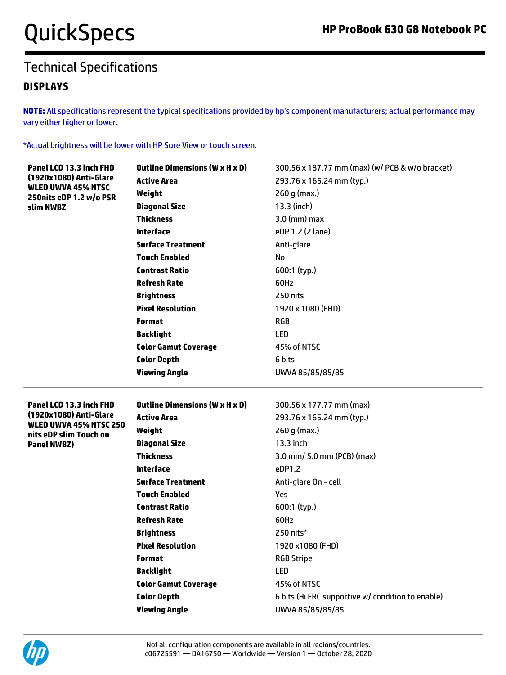#### **DISPLAYS**

**NOTE:** All specifications represent the typical specifications provided by hp's component manufacturers; actual performance may vary either higher or lower.

\*Actual brightness will be lower with HP Sure View or touch screen.

| Panel LCD 13.3 inch FHD                              | <b>Outline Dimensions (W x H x D)</b>      | 300.56 x 187.77 mm (max) (w/ PCB & w/o bracket)                       |
|------------------------------------------------------|--------------------------------------------|-----------------------------------------------------------------------|
| (1920x1080) Anti-Glare                               | <b>Active Area</b>                         | 293.76 x 165.24 mm (typ.)                                             |
| <b>WLED UWVA 45% NTSC</b><br>250nits eDP 1.2 w/o PSR | Weight                                     | $260 g$ (max.)                                                        |
| slim NWBZ                                            | <b>Diagonal Size</b>                       | 13.3 (inch)                                                           |
|                                                      | <b>Thickness</b>                           | $3.0$ (mm) max                                                        |
|                                                      | <b>Interface</b>                           | eDP 1.2 (2 lane)                                                      |
|                                                      | <b>Surface Treatment</b>                   | Anti-glare                                                            |
|                                                      | <b>Touch Enabled</b>                       | <b>No</b>                                                             |
|                                                      | <b>Contrast Ratio</b>                      | 600:1 (typ.)                                                          |
|                                                      | <b>Refresh Rate</b>                        | 60Hz                                                                  |
|                                                      | <b>Brightness</b>                          | 250 nits                                                              |
|                                                      | <b>Pixel Resolution</b>                    | 1920 x 1080 (FHD)                                                     |
|                                                      | <b>Format</b>                              | <b>RGB</b>                                                            |
|                                                      | <b>Backlight</b>                           | <b>LED</b>                                                            |
|                                                      | <b>Color Gamut Coverage</b>                | 45% of NTSC                                                           |
|                                                      | <b>Color Depth</b>                         | 6 bits                                                                |
|                                                      | <b>Viewing Angle</b>                       | UWVA 85/85/85/85                                                      |
|                                                      |                                            |                                                                       |
|                                                      |                                            |                                                                       |
| Panel LCD 13.3 inch FHD                              | <b>Outline Dimensions (W x H x D)</b>      | 300.56 x 177.77 mm (max)                                              |
| (1920x1080) Anti-Glare                               | <b>Active Area</b>                         | 293.76 x 165.24 mm (typ.)                                             |
| <b>WLED UWVA 45% NTSC 250</b>                        | Weight                                     | $260 g$ (max.)                                                        |
| nits eDP slim Touch on<br><b>Panel NWBZ)</b>         | <b>Diagonal Size</b>                       | 13.3 inch                                                             |
|                                                      | <b>Thickness</b>                           | 3.0 mm/ 5.0 mm (PCB) (max)                                            |
|                                                      | <b>Interface</b>                           | eDP1.2                                                                |
|                                                      | <b>Surface Treatment</b>                   | Anti-glare On - cell                                                  |
|                                                      | <b>Touch Enabled</b>                       | Yes                                                                   |
|                                                      | <b>Contrast Ratio</b>                      | 600:1 (typ.)                                                          |
|                                                      | <b>Refresh Rate</b>                        | 60Hz                                                                  |
|                                                      | <b>Brightness</b>                          | 250 nits*                                                             |
|                                                      | <b>Pixel Resolution</b>                    | 1920 x1080 (FHD)                                                      |
|                                                      | <b>Format</b>                              | <b>RGB Stripe</b>                                                     |
|                                                      | <b>Backlight</b>                           | <b>LED</b>                                                            |
|                                                      | <b>Color Gamut Coverage</b>                | 45% of NTSC                                                           |
|                                                      | <b>Color Depth</b><br><b>Viewing Angle</b> | 6 bits (Hi FRC supportive w/ condition to enable)<br>UWVA 85/85/85/85 |

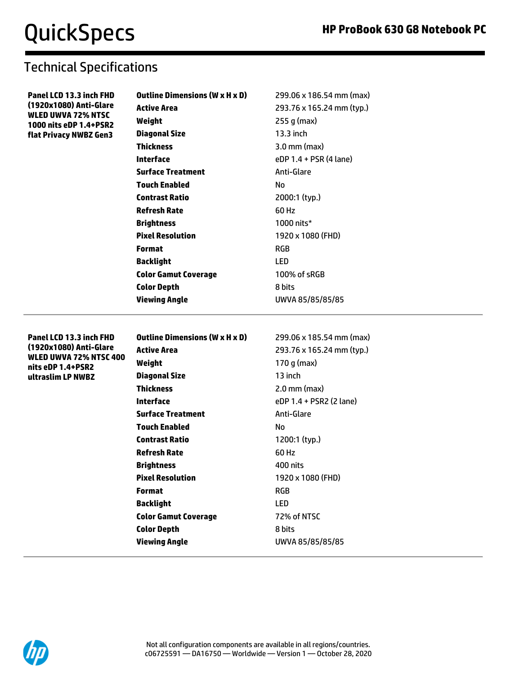**Panel LCD 13.3 inch FHD (1920x1080) Anti-Glare WLED UWVA 72% NTSC 1000 nits eDP 1.4+PSR2 flat Privacy NWBZ Gen3**

### Technical Specifications

| Outline Dimensions (W x H x D) | 299.06 x 186.54 mm (max)  |
|--------------------------------|---------------------------|
| Active Area                    | 293.76 x 165.24 mm (typ.) |
| Weight                         | 255 g (max)               |
| <b>Diagonal Size</b>           | 13.3 inch                 |
| Thickness                      | $3.0$ mm (max)            |
| Interface                      | eDP 1.4 + PSR (4 lane)    |
| <b>Surface Treatment</b>       | Anti-Glare                |
| Touch Enabled                  | No                        |
| <b>Contrast Ratio</b>          | 2000:1 (typ.)             |
| Refresh Rate                   | 60 Hz                     |
| Brightness                     | 1000 nits*                |
| <b>Pixel Resolution</b>        | 1920 x 1080 (FHD)         |
| Format                         | <b>RGB</b>                |
| Backlight                      | LED                       |
| Color Gamut Coverage           | 100% of sRGB              |
| Color Depth                    | 8 bits                    |
| Viewing Angle                  | UWVA 85/85/85/85          |

**Panel LCD 13.3 inch FHD (1920x1080) Anti-Glare WLED UWVA 72% NTSC 400 nits eDP 1.4+PSR2 ultraslim LP NWBZ**

| <b>Outline Dimensions (W x H x D)</b> | 299.06 x 185.54 mm (max)  |
|---------------------------------------|---------------------------|
| <b>Active Area</b>                    | 293.76 x 165.24 mm (typ.) |
| Weight                                | 170 g (max)               |
| <b>Diagonal Size</b>                  | 13 inch                   |
| <b>Thickness</b>                      | $2.0$ mm (max)            |
| Interface                             | eDP 1.4 + PSR2 (2 lane)   |
| <b>Surface Treatment</b>              | Anti-Glare                |
| <b>Touch Enabled</b>                  | No                        |
| <b>Contrast Ratio</b>                 | 1200:1 (typ.)             |
| Refresh Rate                          | 60 Hz                     |
| <b>Brightness</b>                     | 400 nits                  |
| <b>Pixel Resolution</b>               | 1920 x 1080 (FHD)         |
| <b>Format</b>                         | RGB                       |
| Backlight                             | LED                       |
| <b>Color Gamut Coverage</b>           | 72% of NTSC               |
| <b>Color Depth</b>                    | 8 bits                    |
| Viewing Angle                         | UWVA 85/85/85/85          |
|                                       |                           |

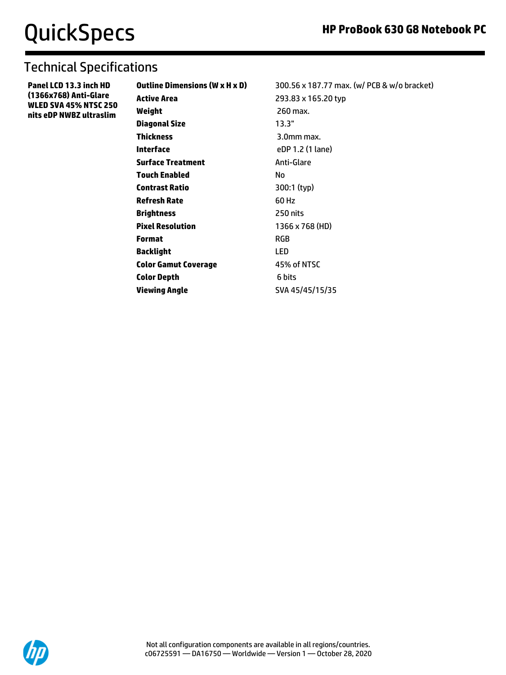## Technical Specifications

**Panel LCD 13.3 inch HD (1366x768) Anti-Glare WLED SVA 45% NTSC 250 nits eDP NWBZ ultraslim**

| Outline Dimensions (W x H x D) | 300.56 x 187.77 max. (w/ PCB & w/o bracket) |
|--------------------------------|---------------------------------------------|
| Active Area                    | 293.83 x 165.20 typ                         |
| Weight                         | 260 max.                                    |
| Diagonal Size                  | 13.3"                                       |
| Thickness                      | 3.0mm max.                                  |
| Interface                      | eDP 1.2 (1 lane)                            |
| Surface Treatment              | Anti-Glare                                  |
| Touch Enabled                  | No                                          |
| <b>Contrast Ratio</b>          | 300:1 (typ)                                 |
| Refresh Rate                   | 60 Hz                                       |
| <b>Brightness</b>              | 250 nits                                    |
| <b>Pixel Resolution</b>        | 1366 x 768 (HD)                             |
| Format                         | <b>RGB</b>                                  |
| Backlight                      | LED                                         |
| <b>Color Gamut Coverage</b>    | 45% of NTSC                                 |
| <b>Color Depth</b>             | 6 bits                                      |
| <b>Viewing Angle</b>           | SVA 45/45/15/35                             |
|                                |                                             |

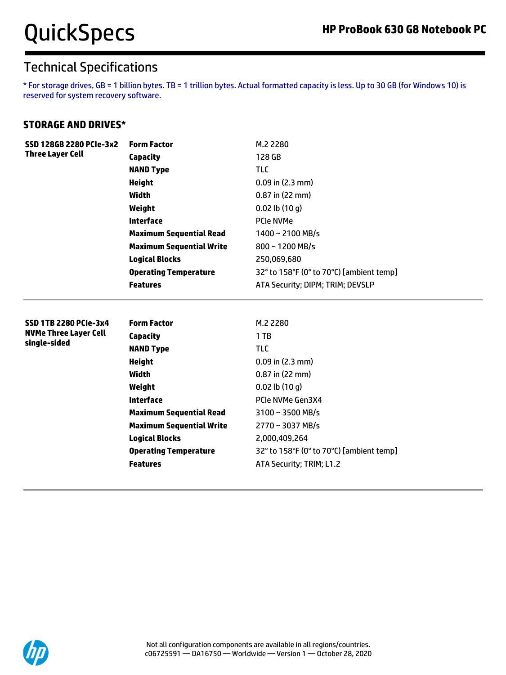\* For storage drives, GB = 1 billion bytes. TB = 1 trillion bytes. Actual formatted capacity is less. Up to 30 GB (for Windows 10) is reserved for system recovery software.

#### **STORAGE AND DRIVES\***

| <b>Three Layer Cell</b><br>128 GB<br><b>Capacity</b><br><b>TLC</b><br><b>NAND Type</b><br><b>Height</b><br>$0.09$ in $(2.3$ mm)<br>$0.87$ in (22 mm)<br>Width<br>Weight<br>$0.02$ lb $(10q)$<br><b>Interface</b><br><b>PCIe NVMe</b><br><b>Maximum Sequential Read</b><br>$1400 \sim 2100$ MB/s<br><b>Maximum Sequential Write</b><br>800~1200 MB/s<br><b>Logical Blocks</b><br>250,069,680<br>32° to 158°F (0° to 70°C) [ambient temp]<br><b>Operating Temperature</b><br><b>Features</b><br>ATA Security; DIPM; TRIM; DEVSLP<br><b>Form Factor</b><br><b>SSD 1TB 2280 PCIe-3x4</b><br>M.2 2280<br><b>NVMe Three Layer Cell</b><br>1TB<br><b>Capacity</b><br>single-sided<br><b>TLC</b><br><b>NAND Type</b><br><b>Height</b><br>$0.09$ in $(2.3$ mm)<br><b>Width</b><br>0.87 in (22 mm)<br>Weight<br>$0.02$ lb $(10q)$<br><b>Interface</b><br>PCIe NVMe Gen3X4 | SSD 128GB 2280 PCIe-3x2 | <b>Form Factor</b>                                    | M.2 2280                                 |
|-----------------------------------------------------------------------------------------------------------------------------------------------------------------------------------------------------------------------------------------------------------------------------------------------------------------------------------------------------------------------------------------------------------------------------------------------------------------------------------------------------------------------------------------------------------------------------------------------------------------------------------------------------------------------------------------------------------------------------------------------------------------------------------------------------------------------------------------------------------------|-------------------------|-------------------------------------------------------|------------------------------------------|
|                                                                                                                                                                                                                                                                                                                                                                                                                                                                                                                                                                                                                                                                                                                                                                                                                                                                 |                         |                                                       |                                          |
|                                                                                                                                                                                                                                                                                                                                                                                                                                                                                                                                                                                                                                                                                                                                                                                                                                                                 |                         |                                                       |                                          |
|                                                                                                                                                                                                                                                                                                                                                                                                                                                                                                                                                                                                                                                                                                                                                                                                                                                                 |                         |                                                       |                                          |
|                                                                                                                                                                                                                                                                                                                                                                                                                                                                                                                                                                                                                                                                                                                                                                                                                                                                 |                         |                                                       |                                          |
|                                                                                                                                                                                                                                                                                                                                                                                                                                                                                                                                                                                                                                                                                                                                                                                                                                                                 |                         |                                                       |                                          |
|                                                                                                                                                                                                                                                                                                                                                                                                                                                                                                                                                                                                                                                                                                                                                                                                                                                                 |                         |                                                       |                                          |
|                                                                                                                                                                                                                                                                                                                                                                                                                                                                                                                                                                                                                                                                                                                                                                                                                                                                 |                         |                                                       |                                          |
|                                                                                                                                                                                                                                                                                                                                                                                                                                                                                                                                                                                                                                                                                                                                                                                                                                                                 |                         |                                                       |                                          |
|                                                                                                                                                                                                                                                                                                                                                                                                                                                                                                                                                                                                                                                                                                                                                                                                                                                                 |                         |                                                       |                                          |
|                                                                                                                                                                                                                                                                                                                                                                                                                                                                                                                                                                                                                                                                                                                                                                                                                                                                 |                         |                                                       |                                          |
|                                                                                                                                                                                                                                                                                                                                                                                                                                                                                                                                                                                                                                                                                                                                                                                                                                                                 |                         |                                                       |                                          |
| <b>Maximum Sequential Read</b><br>3100~3500 MB/s<br><b>Maximum Sequential Write</b><br>2770~3037 MB/s<br>2,000,409,264                                                                                                                                                                                                                                                                                                                                                                                                                                                                                                                                                                                                                                                                                                                                          |                         | <b>Logical Blocks</b><br><b>Operating Temperature</b> | 32° to 158°F (0° to 70°C) [ambient temp] |
|                                                                                                                                                                                                                                                                                                                                                                                                                                                                                                                                                                                                                                                                                                                                                                                                                                                                 |                         |                                                       |                                          |
|                                                                                                                                                                                                                                                                                                                                                                                                                                                                                                                                                                                                                                                                                                                                                                                                                                                                 |                         | <b>Features</b>                                       | ATA Security; TRIM; L1.2                 |
|                                                                                                                                                                                                                                                                                                                                                                                                                                                                                                                                                                                                                                                                                                                                                                                                                                                                 |                         |                                                       |                                          |

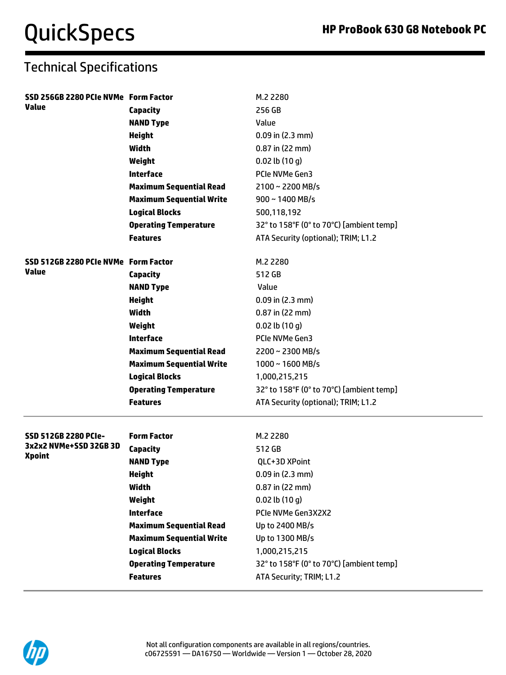| <b>Value</b><br>256 GB<br>Capacity<br><b>NAND Type</b><br>Value          |  |
|--------------------------------------------------------------------------|--|
|                                                                          |  |
|                                                                          |  |
| $0.09$ in $(2.3$ mm)<br><b>Height</b>                                    |  |
| Width<br>0.87 in (22 mm)                                                 |  |
| Weight<br>$0.02$ lb $(10q)$                                              |  |
| <b>Interface</b><br>PCIe NVMe Gen3                                       |  |
| <b>Maximum Sequential Read</b><br>$2100 \sim 2200$ MB/s                  |  |
| <b>Maximum Sequential Write</b><br>$900 \sim 1400$ MB/s                  |  |
| <b>Logical Blocks</b><br>500,118,192                                     |  |
| <b>Operating Temperature</b><br>32° to 158°F (0° to 70°C) [ambient temp] |  |
| <b>Features</b><br>ATA Security (optional); TRIM; L1.2                   |  |
|                                                                          |  |
| SSD 512GB 2280 PCIe NVMe Form Factor<br>M.2 2280                         |  |
| Value<br>512 GB<br>Capacity                                              |  |
| <b>NAND Type</b><br>Value                                                |  |
| <b>Height</b><br>$0.09$ in $(2.3$ mm)                                    |  |
| Width<br>$0.87$ in (22 mm)                                               |  |
| $0.02$ lb $(10q)$<br>Weight                                              |  |
| <b>Interface</b><br>PCIe NVMe Gen3                                       |  |
| <b>Maximum Sequential Read</b><br>$2200 \sim 2300 \text{ MB/s}$          |  |
| <b>Maximum Sequential Write</b><br>$1000 \sim 1600$ MB/s                 |  |
| <b>Logical Blocks</b><br>1,000,215,215                                   |  |
| <b>Operating Temperature</b><br>32° to 158°F (0° to 70°C) [ambient temp] |  |
| ATA Security (optional); TRIM; L1.2<br><b>Features</b>                   |  |
|                                                                          |  |
| SSD 512GB 2280 PCIe-<br><b>Form Factor</b><br>M.2 2280                   |  |
| 3x2x2 NVMe+SSD 32GB 3D<br>512 GB<br><b>Capacity</b><br><b>Xpoint</b>     |  |
| <b>NAND Type</b><br>QLC+3D XPoint                                        |  |
| <b>Height</b><br>0.09 in (2.3 mm)                                        |  |
| <b>Width</b><br>$0.87$ in (22 mm)                                        |  |
| $0.02$ lb $(10q)$<br>Weight                                              |  |
| <b>Interface</b><br>PCIe NVMe Gen3X2X2                                   |  |
| <b>Maximum Sequential Read</b><br>Up to 2400 MB/s                        |  |
| <b>Maximum Sequential Write</b><br>Up to 1300 MB/s                       |  |
| <b>Logical Blocks</b><br>1,000,215,215                                   |  |
| <b>Operating Temperature</b><br>32° to 158°F (0° to 70°C) [ambient temp] |  |
| ATA Security; TRIM; L1.2<br><b>Features</b>                              |  |

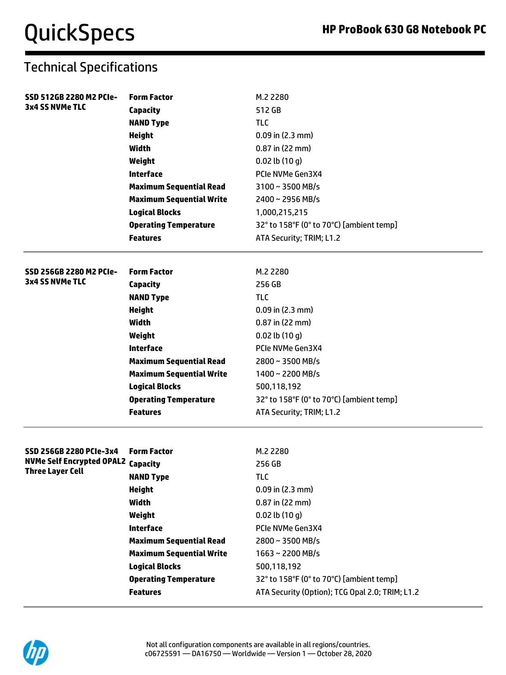| SSD 512GB 2280 M2 PCIe-                   | <b>Form Factor</b>              | M.2 2280                                        |
|-------------------------------------------|---------------------------------|-------------------------------------------------|
| <b>3x4 SS NVMe TLC</b>                    | <b>Capacity</b>                 | 512 GB                                          |
|                                           | <b>NAND Type</b>                | TLC                                             |
|                                           | <b>Height</b>                   | $0.09$ in (2.3 mm)                              |
|                                           | Width                           | $0.87$ in (22 mm)                               |
|                                           | Weight                          | $0.02$ lb $(10q)$                               |
|                                           | <b>Interface</b>                | PCIe NVMe Gen3X4                                |
|                                           | <b>Maximum Sequential Read</b>  | 3100~3500 MB/s                                  |
|                                           | <b>Maximum Sequential Write</b> | 2400~2956 MB/s                                  |
|                                           | <b>Logical Blocks</b>           | 1,000,215,215                                   |
|                                           | <b>Operating Temperature</b>    | 32° to 158°F (0° to 70°C) [ambient temp]        |
|                                           | <b>Features</b>                 | ATA Security; TRIM; L1.2                        |
| SSD 256GB 2280 M2 PCIe-                   | <b>Form Factor</b>              | M.2 2280                                        |
| <b>3x4 SS NVMe TLC</b>                    | <b>Capacity</b>                 | 256 GB                                          |
|                                           | <b>NAND Type</b>                | <b>TLC</b>                                      |
|                                           | <b>Height</b>                   | $0.09$ in $(2.3$ mm)                            |
|                                           | Width                           | 0.87 in (22 mm)                                 |
|                                           | Weight                          | $0.02$ lb $(10q)$                               |
|                                           | <b>Interface</b>                | PCIe NVMe Gen3X4                                |
|                                           | <b>Maximum Sequential Read</b>  | 2800~3500 MB/s                                  |
|                                           | <b>Maximum Sequential Write</b> | 1400~2200 MB/s                                  |
|                                           | <b>Logical Blocks</b>           | 500,118,192                                     |
|                                           | <b>Operating Temperature</b>    | 32° to 158°F (0° to 70°C) [ambient temp]        |
|                                           | <b>Features</b>                 | ATA Security; TRIM; L1.2                        |
| SSD 256GB 2280 PCIe-3x4                   | <b>Form Factor</b>              | M.2 2280                                        |
| <b>NVMe Self Encrypted OPAL2 Capacity</b> |                                 | 256 GB                                          |
| <b>Three Layer Cell</b>                   | <b>NAND Type</b>                | <b>TLC</b>                                      |
|                                           | <b>Height</b>                   | $0.09$ in (2.3 mm)                              |
|                                           | <b>Width</b>                    | $0.87$ in (22 mm)                               |
|                                           | Weight                          | $0.02$ lb $(10q)$                               |
|                                           | <b>Interface</b>                | PCIe NVMe Gen3X4                                |
|                                           | <b>Maximum Sequential Read</b>  | 2800~3500 MB/s                                  |
|                                           | <b>Maximum Sequential Write</b> | 1663~2200 MB/s                                  |
|                                           | <b>Logical Blocks</b>           | 500,118,192                                     |
|                                           | <b>Operating Temperature</b>    | 32° to 158°F (0° to 70°C) [ambient temp]        |
|                                           | <b>Features</b>                 | ATA Security (Option); TCG Opal 2.0; TRIM; L1.2 |
|                                           |                                 |                                                 |

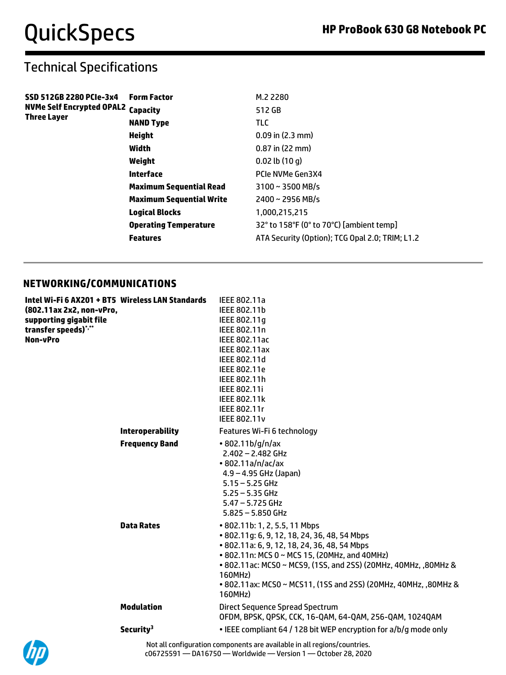## Technical Specifications

| SSD 512GB 2280 PCIe-3x4                   | <b>Form Factor</b>              | M.2 2280                                        |
|-------------------------------------------|---------------------------------|-------------------------------------------------|
| <b>NVMe Self Encrypted OPAL2 Capacity</b> |                                 | 512 GB                                          |
| Three Layer                               | <b>NAND Type</b>                | <b>TLC</b>                                      |
|                                           | <b>Height</b>                   | $0.09$ in $(2.3$ mm)                            |
|                                           | Width                           | $0.87$ in (22 mm)                               |
|                                           | Weight                          | $0.02$ lb $(10q)$                               |
|                                           | Interface                       | PCIe NVMe Gen3X4                                |
|                                           | <b>Maximum Sequential Read</b>  | $3100 \sim 3500$ MB/s                           |
|                                           | <b>Maximum Sequential Write</b> | $2400 \sim 2956 \text{ MB/s}$                   |
|                                           | <b>Logical Blocks</b>           | 1.000.215.215                                   |
|                                           | <b>Operating Temperature</b>    | 32° to 158°F (0° to 70°C) [ambient temp]        |
|                                           | <b>Features</b>                 | ATA Security (Option); TCG Opal 2.0; TRIM; L1.2 |

#### **NETWORKING/COMMUNICATIONS**

| Intel Wi-Fi 6 AX201 + BT5 Wireless LAN Standards |                         | IEEE 802.11a                                                               |
|--------------------------------------------------|-------------------------|----------------------------------------------------------------------------|
| (802.11ax 2x2, non-vPro,                         |                         | IEEE 802.11b                                                               |
| supporting gigabit file                          |                         | IEEE 802.11q                                                               |
| transfer speeds)*,**                             |                         | IEEE 802.11n                                                               |
| <b>Non-vPro</b>                                  |                         | <b>IEEE 802.11ac</b>                                                       |
|                                                  |                         | <b>IEEE 802.11ax</b>                                                       |
|                                                  |                         | IEEE 802.11d                                                               |
|                                                  |                         | IEEE 802.11e                                                               |
|                                                  |                         | IEEE 802.11h                                                               |
|                                                  |                         | IEEE 802.11i                                                               |
|                                                  |                         | <b>IEEE 802.11k</b>                                                        |
|                                                  |                         | IEEE 802.11r                                                               |
|                                                  |                         | <b>IEEE 802.11v</b>                                                        |
|                                                  | <b>Interoperability</b> | Features Wi-Fi 6 technology                                                |
|                                                  | <b>Frequency Band</b>   | $\cdot$ 802.11b/g/n/ax                                                     |
|                                                  |                         | 2.402 - 2.482 GHz                                                          |
|                                                  |                         | • 802.11a/n/ac/ax                                                          |
|                                                  |                         | $4.9 - 4.95$ GHz (Japan)                                                   |
|                                                  |                         | $5.15 - 5.25$ GHz                                                          |
|                                                  |                         | $5.25 - 5.35$ GHz                                                          |
|                                                  |                         | $5.47 - 5.725$ GHz                                                         |
|                                                  |                         | $5.825 - 5.850$ GHz                                                        |
|                                                  | <b>Data Rates</b>       | • 802.11b: 1, 2, 5.5, 11 Mbps                                              |
|                                                  |                         | • 802.11g: 6, 9, 12, 18, 24, 36, 48, 54 Mbps                               |
|                                                  |                         | • 802.11a: 6, 9, 12, 18, 24, 36, 48, 54 Mbps                               |
|                                                  |                         | • 802.11n: MCS 0 ~ MCS 15, (20MHz, and 40MHz)                              |
|                                                  |                         | • 802.11ac: MCS0 ~ MCS9, (1SS, and 2SS) (20MHz, 40MHz, ,80MHz &            |
|                                                  |                         | 160MHz)                                                                    |
|                                                  |                         | • 802.11ax: MCS0 ~ MCS11, (1SS and 2SS) (20MHz, 40MHz, ,80MHz &<br>160MHz) |
|                                                  | <b>Modulation</b>       | Direct Sequence Spread Spectrum                                            |
|                                                  |                         | OFDM, BPSK, QPSK, CCK, 16-QAM, 64-QAM, 256-QAM, 1024QAM                    |
|                                                  | Security <sup>3</sup>   | • IEEE compliant 64 / 128 bit WEP encryption for a/b/g mode only           |
|                                                  |                         |                                                                            |



Not all configuration components are available in all regions/countries. c06725591 — DA16750 — Worldwide — Version 1 — October 28, 2020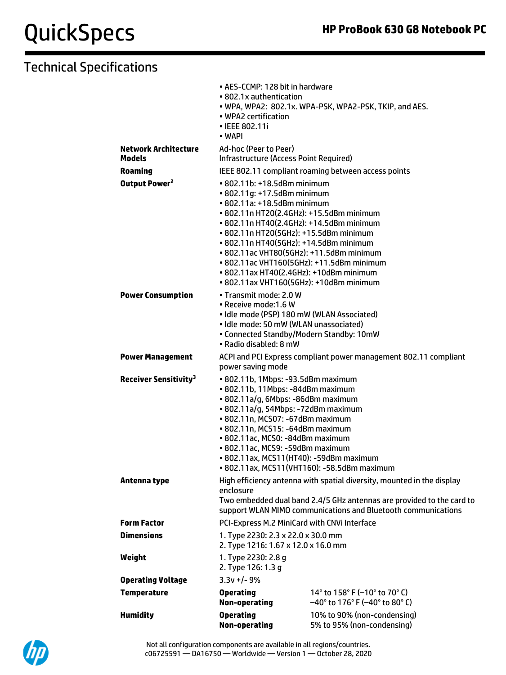|                                              | • AES-CCMP: 128 bit in hardware<br>• 802.1x authentication<br>• WPA2 certification<br>• IEEE 802.11i<br>• WAPI                                                                                                                                                                                                                                                                                                                                                | . WPA, WPA2: 802.1x. WPA-PSK, WPA2-PSK, TKIP, and AES.                   |  |
|----------------------------------------------|---------------------------------------------------------------------------------------------------------------------------------------------------------------------------------------------------------------------------------------------------------------------------------------------------------------------------------------------------------------------------------------------------------------------------------------------------------------|--------------------------------------------------------------------------|--|
| <b>Network Architecture</b><br><b>Models</b> | Ad-hoc (Peer to Peer)<br>Infrastructure (Access Point Required)                                                                                                                                                                                                                                                                                                                                                                                               |                                                                          |  |
| <b>Roaming</b>                               |                                                                                                                                                                                                                                                                                                                                                                                                                                                               | IEEE 802.11 compliant roaming between access points                      |  |
| Output Power <sup>2</sup>                    | $\cdot$ 802.11b: $+18.5$ dBm minimum<br>• 802.11g: +17.5dBm minimum<br>• 802.11a: +18.5dBm minimum<br>• 802.11n HT20(2.4GHz): +15.5dBm minimum<br>• 802.11n HT40(2.4GHz): +14.5dBm minimum<br>• 802.11n HT20(5GHz): +15.5dBm minimum<br>• 802.11n HT40(5GHz): +14.5dBm minimum<br>• 802.11ac VHT80(5GHz): +11.5dBm minimum<br>• 802.11ac VHT160(5GHz): +11.5dBm minimum<br>• 802.11ax HT40(2.4GHz): +10dBm minimum<br>• 802.11ax VHT160(5GHz): +10dBm minimum |                                                                          |  |
| <b>Power Consumption</b>                     | • Transmit mode: 2.0 W<br>• Receive mode:1.6 W<br>• Idle mode (PSP) 180 mW (WLAN Associated)<br>• Idle mode: 50 mW (WLAN unassociated)<br>• Connected Standby/Modern Standby: 10mW<br>• Radio disabled: 8 mW                                                                                                                                                                                                                                                  |                                                                          |  |
| <b>Power Management</b>                      | ACPI and PCI Express compliant power management 802.11 compliant<br>power saving mode                                                                                                                                                                                                                                                                                                                                                                         |                                                                          |  |
| <b>Receiver Sensitivity<sup>3</sup></b>      | • 802.11b, 1Mbps: -93.5dBm maximum<br>· 802.11b, 11Mbps: -84dBm maximum<br>• 802.11a/g, 6Mbps: -86dBm maximum<br>• 802.11a/g, 54Mbps: -72dBm maximum<br>• 802.11n, MCS07: -67dBm maximum<br>• 802.11n, MCS15: -64dBm maximum<br>· 802.11ac, MCS0: -84dBm maximum<br>• 802.11ac, MCS9: -59dBm maximum<br>• 802.11ax, MCS11(HT40): -59dBm maximum<br>• 802.11ax, MCS11(VHT160): -58.5dBm maximum                                                                |                                                                          |  |
| Antenna type                                 | High efficiency antenna with spatial diversity, mounted in the display<br>enclosure<br>Two embedded dual band 2.4/5 GHz antennas are provided to the card to<br>support WLAN MIMO communications and Bluetooth communications                                                                                                                                                                                                                                 |                                                                          |  |
| <b>Form Factor</b>                           | PCI-Express M.2 MiniCard with CNVi Interface                                                                                                                                                                                                                                                                                                                                                                                                                  |                                                                          |  |
| <b>Dimensions</b>                            | 1. Type 2230: 2.3 x 22.0 x 30.0 mm<br>2. Type 1216: 1.67 x 12.0 x 16.0 mm                                                                                                                                                                                                                                                                                                                                                                                     |                                                                          |  |
| Weight                                       | 1. Type 2230: 2.8 g<br>2. Type 126: 1.3 g                                                                                                                                                                                                                                                                                                                                                                                                                     |                                                                          |  |
| <b>Operating Voltage</b>                     | $3.3v +/- 9%$                                                                                                                                                                                                                                                                                                                                                                                                                                                 |                                                                          |  |
| <b>Temperature</b>                           | <b>Operating</b><br><b>Non-operating</b>                                                                                                                                                                                                                                                                                                                                                                                                                      | 14° to 158° F (-10° to 70° C)<br>$-40^{\circ}$ to 176° F (-40° to 80° C) |  |
| <b>Humidity</b>                              | <b>Operating</b><br><b>Non-operating</b>                                                                                                                                                                                                                                                                                                                                                                                                                      | 10% to 90% (non-condensing)<br>5% to 95% (non-condensing)                |  |

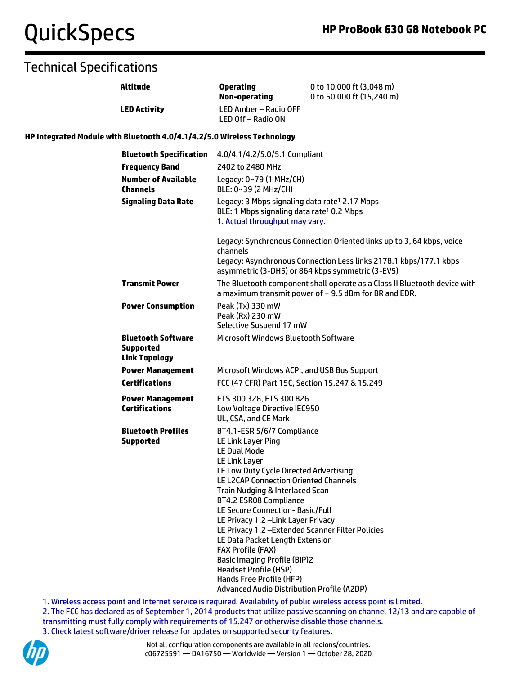### Technical Specifications

|                                                                         | <b>Altitude</b>                                                       | <b>Operating</b><br><b>Non-operating</b>                                                                                                                                                                                                                                                                                                                                                                                                                                                                                                                                                                     | 0 to 10,000 ft (3,048 m)<br>0 to 50,000 ft (15,240 m)                                                                                      |
|-------------------------------------------------------------------------|-----------------------------------------------------------------------|--------------------------------------------------------------------------------------------------------------------------------------------------------------------------------------------------------------------------------------------------------------------------------------------------------------------------------------------------------------------------------------------------------------------------------------------------------------------------------------------------------------------------------------------------------------------------------------------------------------|--------------------------------------------------------------------------------------------------------------------------------------------|
|                                                                         | <b>LED Activity</b>                                                   | LED Amber - Radio OFF<br>LED Off - Radio ON                                                                                                                                                                                                                                                                                                                                                                                                                                                                                                                                                                  |                                                                                                                                            |
| HP Integrated Module with Bluetooth 4.0/4.1/4.2/5.0 Wireless Technology |                                                                       |                                                                                                                                                                                                                                                                                                                                                                                                                                                                                                                                                                                                              |                                                                                                                                            |
|                                                                         | <b>Bluetooth Specification</b><br><b>Frequency Band</b>               | 4.0/4.1/4.2/5.0/5.1 Compliant<br>2402 to 2480 MHz                                                                                                                                                                                                                                                                                                                                                                                                                                                                                                                                                            |                                                                                                                                            |
|                                                                         | <b>Number of Available</b><br><b>Channels</b>                         | Legacy: 0~79 (1 MHz/CH)<br>BLE: 0~39 (2 MHz/CH)                                                                                                                                                                                                                                                                                                                                                                                                                                                                                                                                                              |                                                                                                                                            |
|                                                                         | <b>Signaling Data Rate</b>                                            | Legacy: 3 Mbps signaling data rate <sup>1</sup> 2.17 Mbps<br>BLE: 1 Mbps signaling data rate <sup>1</sup> 0.2 Mbps<br>1. Actual throughput may vary.                                                                                                                                                                                                                                                                                                                                                                                                                                                         |                                                                                                                                            |
|                                                                         |                                                                       | channels<br>asymmetric (3-DH5) or 864 kbps symmetric (3-EV5)                                                                                                                                                                                                                                                                                                                                                                                                                                                                                                                                                 | Legacy: Synchronous Connection Oriented links up to 3, 64 kbps, voice<br>Legacy: Asynchronous Connection Less links 2178.1 kbps/177.1 kbps |
|                                                                         | <b>Transmit Power</b>                                                 | The Bluetooth component shall operate as a Class II Bluetooth device with<br>a maximum transmit power of +9.5 dBm for BR and EDR.<br>Peak (Tx) 330 mW<br>Peak (Rx) 230 mW<br>Selective Suspend 17 mW<br><b>Microsoft Windows Bluetooth Software</b>                                                                                                                                                                                                                                                                                                                                                          |                                                                                                                                            |
|                                                                         | <b>Power Consumption</b>                                              |                                                                                                                                                                                                                                                                                                                                                                                                                                                                                                                                                                                                              |                                                                                                                                            |
|                                                                         | <b>Bluetooth Software</b><br><b>Supported</b><br><b>Link Topology</b> |                                                                                                                                                                                                                                                                                                                                                                                                                                                                                                                                                                                                              |                                                                                                                                            |
|                                                                         | <b>Power Management</b>                                               | Microsoft Windows ACPI, and USB Bus Support                                                                                                                                                                                                                                                                                                                                                                                                                                                                                                                                                                  |                                                                                                                                            |
|                                                                         | <b>Certifications</b>                                                 | FCC (47 CFR) Part 15C, Section 15.247 & 15.249                                                                                                                                                                                                                                                                                                                                                                                                                                                                                                                                                               |                                                                                                                                            |
|                                                                         | <b>Power Management</b><br><b>Certifications</b>                      | ETS 300 328, ETS 300 826<br>Low Voltage Directive IEC950<br>UL, CSA, and CE Mark                                                                                                                                                                                                                                                                                                                                                                                                                                                                                                                             |                                                                                                                                            |
|                                                                         | <b>Bluetooth Profiles</b><br><b>Supported</b>                         | BT4.1-ESR 5/6/7 Compliance<br>LE Link Layer Ping<br><b>LE Dual Mode</b><br><b>LE Link Layer</b><br>LE Low Duty Cycle Directed Advertising<br>LE L2CAP Connection Oriented Channels<br>Train Nudging & Interlaced Scan<br><b>BT4.2 ESR08 Compliance</b><br>LE Secure Connection-Basic/Full<br>LE Privacy 1.2 - Link Layer Privacy<br>LE Privacy 1.2 - Extended Scanner Filter Policies<br>LE Data Packet Length Extension<br><b>FAX Profile (FAX)</b><br><b>Basic Imaging Profile (BIP)2</b><br><b>Headset Profile (HSP)</b><br>Hands Free Profile (HFP)<br><b>Advanced Audio Distribution Profile (A2DP)</b> |                                                                                                                                            |

1. Wireless access point and Internet service is required. Availability of public wireless access point is limited. 2. The FCC has declared as of September 1, 2014 products that utilize passive scanning on channel 12/13 and are capable of transmitting must fully comply with requirements of 15.247 or otherwise disable those channels. 3. Check latest software/driver release for updates on supported security features.

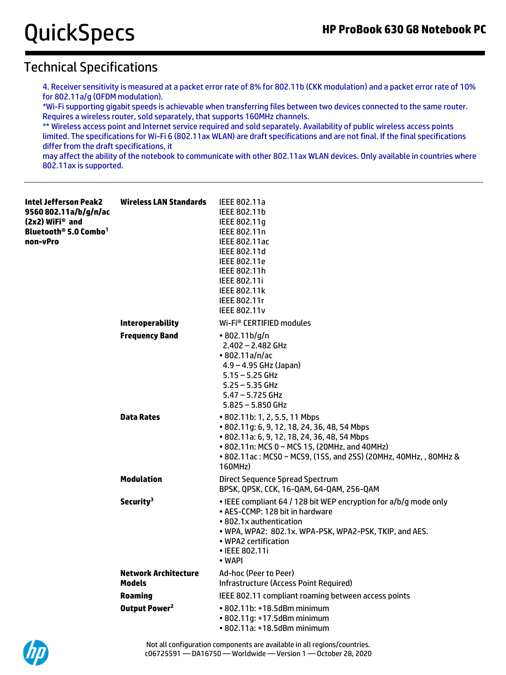### Technical Specifications

4. Receiver sensitivity is measured at a packet error rate of 8% for 802.11b (CKK modulation) and a packet error rate of 10% for 802.11a/g (OFDM modulation).

\*Wi-Fi supporting gigabit speeds is achievable when transferring files between two devices connected to the same router. Requires a wireless router, sold separately, that supports 160MHz channels.

\*\* Wireless access point and Internet service required and sold separately. Availability of public wireless access points limited. The specifications for Wi-Fi 6 (802.11ax WLAN) are draft specifications and are not final. If the final specifications differ from the draft specifications, it

may affect the ability of the notebook to communicate with other 802.11ax WLAN devices. Only available in countries where 802.11ax is supported.

| Intel Jefferson Peak2<br>9560 802.11a/b/g/n/ac<br>(2x2) WiFi® and<br>Bluetooth® 5.0 Combo <sup>1</sup><br>non-vPro | <b>Wireless LAN Standards</b>                | IEEE 802.11a<br>IEEE 802.11b<br>IEEE 802.11q<br>IEEE 802.11n<br><b>IEEE 802.11ac</b><br>IEEE 802.11d<br>IEEE 802.11e<br>IEEE 802.11h<br><b>IEEE 802.11i</b><br><b>IEEE 802.11k</b><br>IEEE 802.11r<br><b>IEEE 802.11v</b>                                     |
|--------------------------------------------------------------------------------------------------------------------|----------------------------------------------|---------------------------------------------------------------------------------------------------------------------------------------------------------------------------------------------------------------------------------------------------------------|
|                                                                                                                    | <b>Interoperability</b>                      | Wi-Fi <sup>®</sup> CERTIFIED modules                                                                                                                                                                                                                          |
|                                                                                                                    | <b>Frequency Band</b>                        | $\cdot$ 802.11b/g/n<br>$2.402 - 2.482$ GHz<br>• 802.11a/n/ac<br>$4.9 - 4.95$ GHz (Japan)<br>$5.15 - 5.25$ GHz<br>$5.25 - 5.35$ GHz<br>$5.47 - 5.725$ GHz<br>$5.825 - 5.850$ GHz                                                                               |
|                                                                                                                    | <b>Data Rates</b>                            | • 802.11b: 1, 2, 5.5, 11 Mbps<br>• 802.11g: 6, 9, 12, 18, 24, 36, 48, 54 Mbps<br>• 802.11a: 6, 9, 12, 18, 24, 36, 48, 54 Mbps<br>• 802.11n: MCS 0 ~ MCS 15, (20MHz, and 40MHz)<br>• 802.11ac: MCS0 ~ MCS9, (1SS, and 2SS) (20MHz, 40MHz, , 80MHz &<br>160MHz) |
|                                                                                                                    | <b>Modulation</b>                            | Direct Sequence Spread Spectrum<br>BPSK, QPSK, CCK, 16-QAM, 64-QAM, 256-QAM                                                                                                                                                                                   |
|                                                                                                                    | Security <sup>3</sup>                        | • IEEE compliant 64 / 128 bit WEP encryption for a/b/g mode only<br>• AES-CCMP: 128 bit in hardware<br>• 802.1x authentication<br>. WPA, WPA2: 802.1x. WPA-PSK, WPA2-PSK, TKIP, and AES.<br>• WPA2 certification<br>• IEEE 802.11i<br>• WAPI                  |
|                                                                                                                    | <b>Network Architecture</b><br><b>Models</b> | Ad-hoc (Peer to Peer)<br>Infrastructure (Access Point Required)                                                                                                                                                                                               |
|                                                                                                                    | <b>Roaming</b>                               | IEEE 802.11 compliant roaming between access points                                                                                                                                                                                                           |
|                                                                                                                    | Output Power <sup>2</sup>                    | • 802.11b: +18.5dBm minimum<br>• 802.11g: +17.5dBm minimum<br>• 802.11a: +18.5dBm minimum                                                                                                                                                                     |

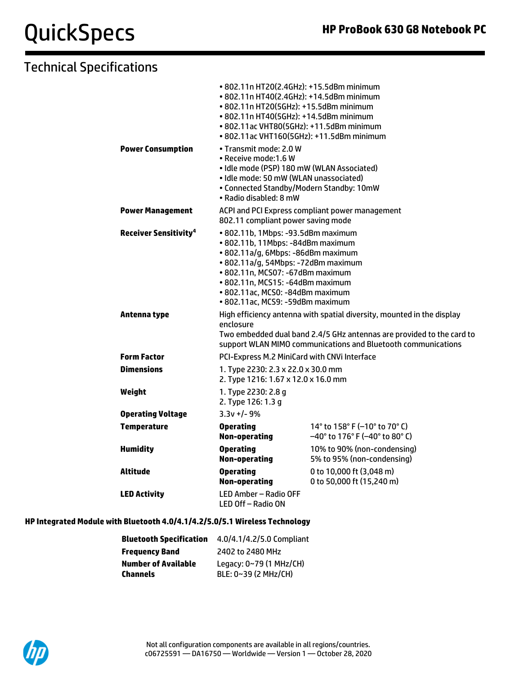## Technical Specifications

|                                         | • 802.11n HT20(2.4GHz): +15.5dBm minimum<br>• 802.11n HT40(2.4GHz): +14.5dBm minimum<br>• 802.11n HT20(5GHz): +15.5dBm minimum<br>• 802.11n HT40(5GHz): +14.5dBm minimum<br>• 802.11ac VHT80(5GHz): +11.5dBm minimum<br>• 802.11ac VHT160(5GHz): +11.5dBm minimum                                    |                                                                          |  |
|-----------------------------------------|------------------------------------------------------------------------------------------------------------------------------------------------------------------------------------------------------------------------------------------------------------------------------------------------------|--------------------------------------------------------------------------|--|
| <b>Power Consumption</b>                | • Transmit mode: 2.0 W<br>• Receive mode: 1.6 W<br>· Idle mode (PSP) 180 mW (WLAN Associated)<br>· Idle mode: 50 mW (WLAN unassociated)<br>• Connected Standby/Modern Standby: 10mW<br>• Radio disabled: 8 mW                                                                                        |                                                                          |  |
| <b>Power Management</b>                 | 802.11 compliant power saving mode                                                                                                                                                                                                                                                                   | ACPI and PCI Express compliant power management                          |  |
| <b>Receiver Sensitivity<sup>4</sup></b> | • 802.11b, 1Mbps: -93.5dBm maximum<br>· 802.11b, 11Mbps: -84dBm maximum<br>· 802.11a/g, 6Mbps: -86dBm maximum<br>• 802.11a/g, 54Mbps: -72dBm maximum<br>• 802.11n, MCS07: -67dBm maximum<br>• 802.11n, MCS15: -64dBm maximum<br>· 802.11ac, MCS0: -84dBm maximum<br>· 802.11ac, MCS9: -59dBm maximum |                                                                          |  |
| Antenna type                            | High efficiency antenna with spatial diversity, mounted in the display<br>enclosure<br>Two embedded dual band 2.4/5 GHz antennas are provided to the card to<br>support WLAN MIMO communications and Bluetooth communications                                                                        |                                                                          |  |
| <b>Form Factor</b>                      | PCI-Express M.2 MiniCard with CNVi Interface                                                                                                                                                                                                                                                         |                                                                          |  |
| <b>Dimensions</b>                       | 1. Type 2230: 2.3 x 22.0 x 30.0 mm<br>2. Type 1216: 1.67 x 12.0 x 16.0 mm                                                                                                                                                                                                                            |                                                                          |  |
| Weight                                  | 1. Type 2230: 2.8 g<br>2. Type 126: 1.3 g                                                                                                                                                                                                                                                            |                                                                          |  |
| <b>Operating Voltage</b>                | $3.3v +/- 9%$                                                                                                                                                                                                                                                                                        |                                                                          |  |
| <b>Temperature</b>                      | <b>Operating</b><br><b>Non-operating</b>                                                                                                                                                                                                                                                             | 14° to 158° F (-10° to 70° C)<br>$-40^{\circ}$ to 176° F (-40° to 80° C) |  |
| <b>Humidity</b>                         | <b>Operating</b><br><b>Non-operating</b>                                                                                                                                                                                                                                                             | 10% to 90% (non-condensing)<br>5% to 95% (non-condensing)                |  |
| <b>Altitude</b>                         | <b>Operating</b><br><b>Non-operating</b>                                                                                                                                                                                                                                                             | 0 to 10,000 ft (3,048 m)<br>0 to 50,000 ft (15,240 m)                    |  |
| <b>LED Activity</b>                     | LED Amber - Radio OFF<br>LED Off – Radio ON                                                                                                                                                                                                                                                          |                                                                          |  |

#### **HP Integrated Module with Bluetooth 4.0/4.1/4.2/5.0/5.1 Wireless Technology**

| <b>Bluetooth Specification</b> | 4.0/4.1/4.2/5.0 Compliant |
|--------------------------------|---------------------------|
| <b>Frequency Band</b>          | 2402 to 2480 MHz          |
| <b>Number of Available</b>     | Legacy: 0~79 (1 MHz/CH)   |
| Channels                       | BLE: 0~39 (2 MHz/CH)      |

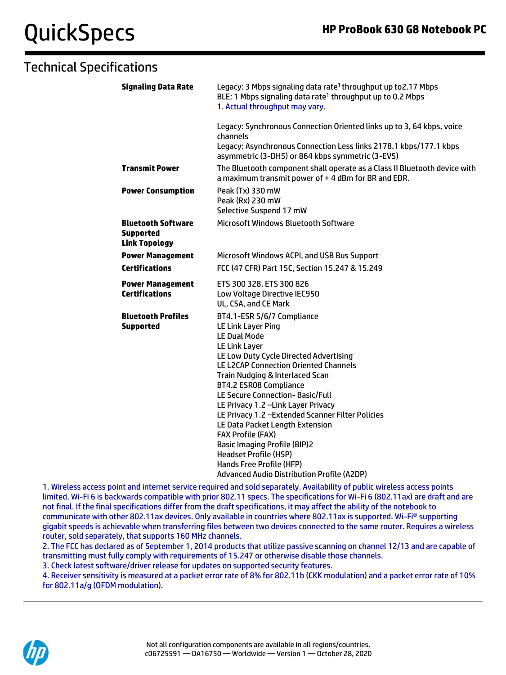| <b>Signaling Data Rate</b>                                            | Legacy: 3 Mbps signaling data rate <sup>1</sup> throughput up to 2.17 Mbps<br>BLE: 1 Mbps signaling data rate <sup>1</sup> throughput up to 0.2 Mbps<br>1. Actual throughput may vary.                                                                                                                                                                                                                                                                                                                                                                                                                       |
|-----------------------------------------------------------------------|--------------------------------------------------------------------------------------------------------------------------------------------------------------------------------------------------------------------------------------------------------------------------------------------------------------------------------------------------------------------------------------------------------------------------------------------------------------------------------------------------------------------------------------------------------------------------------------------------------------|
|                                                                       | Legacy: Synchronous Connection Oriented links up to 3, 64 kbps, voice<br>channels                                                                                                                                                                                                                                                                                                                                                                                                                                                                                                                            |
|                                                                       | Legacy: Asynchronous Connection Less links 2178.1 kbps/177.1 kbps<br>asymmetric (3-DH5) or 864 kbps symmetric (3-EV5)                                                                                                                                                                                                                                                                                                                                                                                                                                                                                        |
| <b>Transmit Power</b>                                                 | The Bluetooth component shall operate as a Class II Bluetooth device with<br>a maximum transmit power of +4 dBm for BR and EDR.                                                                                                                                                                                                                                                                                                                                                                                                                                                                              |
| <b>Power Consumption</b>                                              | Peak (Tx) 330 mW<br>Peak (Rx) 230 mW<br>Selective Suspend 17 mW                                                                                                                                                                                                                                                                                                                                                                                                                                                                                                                                              |
| <b>Bluetooth Software</b><br><b>Supported</b><br><b>Link Topology</b> | <b>Microsoft Windows Bluetooth Software</b>                                                                                                                                                                                                                                                                                                                                                                                                                                                                                                                                                                  |
| <b>Power Management</b>                                               | Microsoft Windows ACPI, and USB Bus Support                                                                                                                                                                                                                                                                                                                                                                                                                                                                                                                                                                  |
| <b>Certifications</b>                                                 | FCC (47 CFR) Part 15C, Section 15.247 & 15.249                                                                                                                                                                                                                                                                                                                                                                                                                                                                                                                                                               |
| <b>Power Management</b><br><b>Certifications</b>                      | ETS 300 328, ETS 300 826<br>Low Voltage Directive IEC950<br>UL, CSA, and CE Mark                                                                                                                                                                                                                                                                                                                                                                                                                                                                                                                             |
| <b>Bluetooth Profiles</b><br><b>Supported</b>                         | BT4.1-ESR 5/6/7 Compliance<br>LE Link Layer Ping<br><b>LE Dual Mode</b><br><b>LE Link Layer</b><br>LE Low Duty Cycle Directed Advertising<br><b>LE L2CAP Connection Oriented Channels</b><br>Train Nudging & Interlaced Scan<br>BT4.2 ESR08 Compliance<br>LE Secure Connection-Basic/Full<br>LE Privacy 1.2 - Link Layer Privacy<br>LE Privacy 1.2 - Extended Scanner Filter Policies<br>LE Data Packet Length Extension<br><b>FAX Profile (FAX)</b><br><b>Basic Imaging Profile (BIP)2</b><br><b>Headset Profile (HSP)</b><br>Hands Free Profile (HFP)<br><b>Advanced Audio Distribution Profile (A2DP)</b> |

1. Wireless access point and internet service required and sold separately. Availability of public wireless access points limited. Wi-Fi 6 is backwards compatible with prior 802.11 specs. The specifications for Wi-Fi 6 (802.11ax) are draft and are not final. If the final specifications differ from the draft specifications, it may affect the ability of the notebook to communicate with other 802.11ax devices. Only available in countries where 802.11ax is supported. Wi-Fi® supporting gigabit speeds is achievable when transferring files between two devices connected to the same router. Requires a wireless router, sold separately, that supports 160 MHz channels.

2. The FCC has declared as of September 1, 2014 products that utilize passive scanning on channel 12/13 and are capable of transmitting must fully comply with requirements of 15.247 or otherwise disable those channels.

3. Check latest software/driver release for updates on supported security features.

4. Receiver sensitivity is measured at a packet error rate of 8% for 802.11b (CKK modulation) and a packet error rate of 10% for 802.11a/g (OFDM modulation).

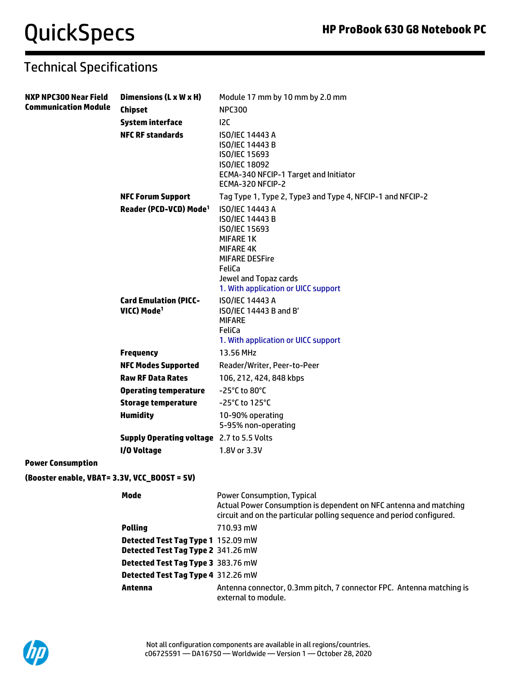| <b>NXP NPC300 Near Field</b>                 | Dimensions (L x W x H)                                  | Module 17 mm by 10 mm by 2.0 mm                                                                                                                                                                       |  |  |
|----------------------------------------------|---------------------------------------------------------|-------------------------------------------------------------------------------------------------------------------------------------------------------------------------------------------------------|--|--|
| <b>Communication Module</b>                  | <b>Chipset</b>                                          | <b>NPC300</b>                                                                                                                                                                                         |  |  |
|                                              | <b>System interface</b>                                 | 12C                                                                                                                                                                                                   |  |  |
|                                              | <b>NFC RF standards</b>                                 | <b>ISO/IEC 14443 A</b><br>ISO/IEC 14443 B<br>ISO/IEC 15693<br><b>ISO/IEC 18092</b><br>ECMA-340 NFCIP-1 Target and Initiator<br>ECMA-320 NFCIP-2                                                       |  |  |
|                                              | <b>NFC Forum Support</b>                                | Tag Type 1, Type 2, Type3 and Type 4, NFCIP-1 and NFCIP-2                                                                                                                                             |  |  |
|                                              | Reader (PCD-VCD) Mode <sup>1</sup>                      | <b>ISO/IEC 14443 A</b><br>ISO/IEC 14443 B<br>ISO/IEC 15693<br><b>MIFARE 1K</b><br><b>MIFARE 4K</b><br><b>MIFARE DESFire</b><br>FeliCa<br>Jewel and Topaz cards<br>1. With application or UICC support |  |  |
|                                              | <b>Card Emulation (PICC-</b><br>VICC) Mode <sup>1</sup> | <b>ISO/IEC 14443 A</b><br>ISO/IEC 14443 B and B'<br><b>MIFARE</b><br>FeliCa<br>1. With application or UICC support                                                                                    |  |  |
|                                              | <b>Frequency</b>                                        | 13.56 MHz                                                                                                                                                                                             |  |  |
|                                              | <b>NFC Modes Supported</b>                              | Reader/Writer, Peer-to-Peer                                                                                                                                                                           |  |  |
|                                              | <b>Raw RF Data Rates</b>                                | 106, 212, 424, 848 kbps                                                                                                                                                                               |  |  |
|                                              | <b>Operating temperature</b>                            | $-25^{\circ}$ C to 80 $^{\circ}$ C                                                                                                                                                                    |  |  |
|                                              | <b>Storage temperature</b>                              | -25°C to 125°C                                                                                                                                                                                        |  |  |
|                                              | <b>Humidity</b>                                         | 10-90% operating<br>5-95% non-operating                                                                                                                                                               |  |  |
|                                              | <b>Supply Operating voltage</b> 2.7 to 5.5 Volts        |                                                                                                                                                                                                       |  |  |
|                                              | I/O Voltage                                             | 1.8V or 3.3V                                                                                                                                                                                          |  |  |
| <b>Power Consumption</b>                     |                                                         |                                                                                                                                                                                                       |  |  |
| (Booster enable, VBAT= 3.3V, VCC_BOOST = 5V) |                                                         |                                                                                                                                                                                                       |  |  |

| Mode                                                                     | <b>Power Consumption, Typical</b><br>Actual Power Consumption is dependent on NFC antenna and matching<br>circuit and on the particular polling sequence and period configured. |
|--------------------------------------------------------------------------|---------------------------------------------------------------------------------------------------------------------------------------------------------------------------------|
| <b>Polling</b>                                                           | 710.93 mW                                                                                                                                                                       |
| Detected Test Tag Type 1 152.09 mW<br>Detected Test Tag Type 2 341.26 mW |                                                                                                                                                                                 |
| Detected Test Tag Type 3 383.76 mW                                       |                                                                                                                                                                                 |
| Detected Test Tag Type 4 312.26 mW                                       |                                                                                                                                                                                 |
| Antenna                                                                  | Antenna connector, 0.3mm pitch, 7 connector FPC. Antenna matching is<br>external to module.                                                                                     |

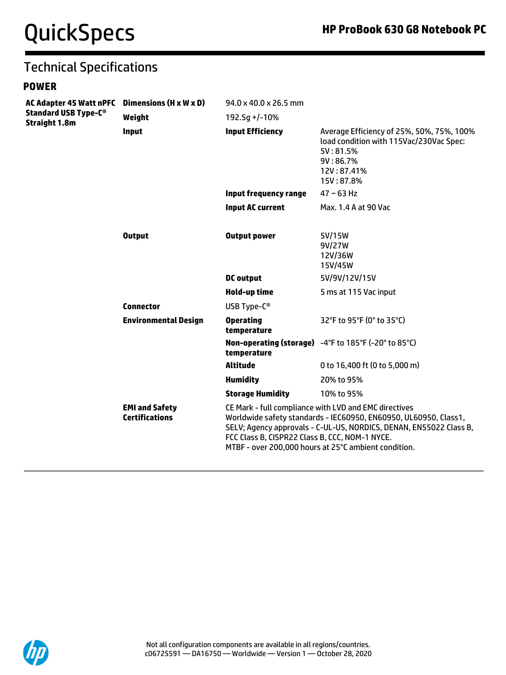#### **POWER**

| <b>AC Adapter 45 Watt nPFC</b><br><b>Standard USB Type-C®</b><br><b>Straight 1.8m</b> | Dimensions (H x W x D)                         | 94.0 x 40.0 x 26.5 mm                                                                                                                                                                                                                                                                                     |                                                                                                                                         |
|---------------------------------------------------------------------------------------|------------------------------------------------|-----------------------------------------------------------------------------------------------------------------------------------------------------------------------------------------------------------------------------------------------------------------------------------------------------------|-----------------------------------------------------------------------------------------------------------------------------------------|
|                                                                                       | Weight                                         | $192.5q + -10%$                                                                                                                                                                                                                                                                                           |                                                                                                                                         |
|                                                                                       | <b>Input</b>                                   | <b>Input Efficiency</b>                                                                                                                                                                                                                                                                                   | Average Efficiency of 25%, 50%, 75%, 100%<br>load condition with 115Vac/230Vac Spec:<br>5V:81.5%<br>9V:86.7%<br>12V:87.41%<br>15V:87.8% |
|                                                                                       |                                                | <b>Input frequency range</b>                                                                                                                                                                                                                                                                              | $47 - 63$ Hz                                                                                                                            |
|                                                                                       |                                                | <b>Input AC current</b>                                                                                                                                                                                                                                                                                   | Max. 1.4 A at 90 Vac                                                                                                                    |
|                                                                                       | <b>Output</b>                                  | <b>Output power</b>                                                                                                                                                                                                                                                                                       | 5V/15W<br>9V/27W<br>12V/36W<br>15V/45W                                                                                                  |
|                                                                                       |                                                | <b>DC</b> output                                                                                                                                                                                                                                                                                          | 5V/9V/12V/15V                                                                                                                           |
|                                                                                       |                                                | Hold-up time                                                                                                                                                                                                                                                                                              | 5 ms at 115 Vac input                                                                                                                   |
|                                                                                       | <b>Connector</b>                               | USB Type-C <sup>®</sup>                                                                                                                                                                                                                                                                                   |                                                                                                                                         |
|                                                                                       | <b>Environmental Design</b>                    | <b>Operating</b><br>temperature                                                                                                                                                                                                                                                                           | 32°F to 95°F (0° to 35°C)                                                                                                               |
|                                                                                       |                                                | temperature                                                                                                                                                                                                                                                                                               | Non-operating (storage) -4°F to 185°F (-20° to 85°C)                                                                                    |
|                                                                                       |                                                | <b>Altitude</b>                                                                                                                                                                                                                                                                                           | 0 to 16,400 ft (0 to 5,000 m)                                                                                                           |
|                                                                                       |                                                | <b>Humidity</b>                                                                                                                                                                                                                                                                                           | 20% to 95%                                                                                                                              |
|                                                                                       |                                                | <b>Storage Humidity</b>                                                                                                                                                                                                                                                                                   | 10% to 95%                                                                                                                              |
|                                                                                       | <b>EMI and Safety</b><br><b>Certifications</b> | CE Mark - full compliance with LVD and EMC directives<br>Worldwide safety standards - IEC60950, EN60950, UL60950, Class1,<br>SELV; Agency approvals - C-UL-US, NORDICS, DENAN, EN55022 Class B,<br>FCC Class B, CISPR22 Class B, CCC, NOM-1 NYCE.<br>MTBF - over 200,000 hours at 25°C ambient condition. |                                                                                                                                         |

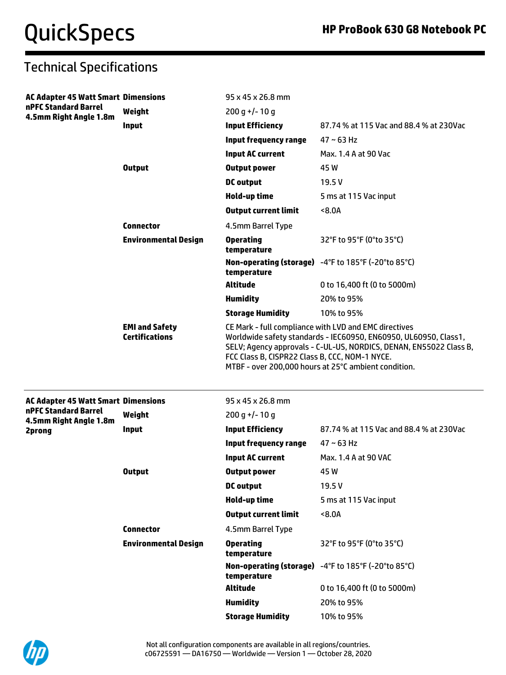| <b>AC Adapter 45 Watt Smart Dimensions</b><br>nPFC Standard Barrel<br>4.5mm Right Angle 1.8m |                             | 95 x 45 x 26.8 mm                              |                                                                                                                                                                                                |
|----------------------------------------------------------------------------------------------|-----------------------------|------------------------------------------------|------------------------------------------------------------------------------------------------------------------------------------------------------------------------------------------------|
|                                                                                              | Weight                      | $200 q$ +/-10 q                                |                                                                                                                                                                                                |
|                                                                                              | <b>Input</b>                | <b>Input Efficiency</b>                        | 87.74 % at 115 Vac and 88.4 % at 230Vac                                                                                                                                                        |
|                                                                                              |                             | <b>Input frequency range</b>                   | $47 \sim 63$ Hz                                                                                                                                                                                |
|                                                                                              |                             | <b>Input AC current</b>                        | Max, 1.4 A at 90 Vac                                                                                                                                                                           |
|                                                                                              | <b>Output</b>               | <b>Output power</b>                            | 45W                                                                                                                                                                                            |
|                                                                                              |                             | <b>DC</b> output                               | 19.5V                                                                                                                                                                                          |
|                                                                                              |                             | Hold-up time                                   | 5 ms at 115 Vac input                                                                                                                                                                          |
|                                                                                              |                             | <b>Output current limit</b>                    | 8.0A                                                                                                                                                                                           |
|                                                                                              | <b>Connector</b>            | 4.5mm Barrel Type                              |                                                                                                                                                                                                |
|                                                                                              | <b>Environmental Design</b> | <b>Operating</b><br>temperature                | 32°F to 95°F (0°to 35°C)                                                                                                                                                                       |
|                                                                                              |                             | temperature                                    | Non-operating (storage) -4°F to 185°F (-20°to 85°C)                                                                                                                                            |
|                                                                                              |                             | <b>Altitude</b>                                | 0 to 16,400 ft (0 to 5000m)                                                                                                                                                                    |
|                                                                                              |                             | <b>Humidity</b>                                | 20% to 95%                                                                                                                                                                                     |
|                                                                                              |                             | <b>Storage Humidity</b>                        | 10% to 95%                                                                                                                                                                                     |
|                                                                                              | <b>Certifications</b>       | FCC Class B, CISPR22 Class B, CCC, NOM-1 NYCE. | Worldwide safety standards - IEC60950, EN60950, UL60950, Class1,<br>SELV; Agency approvals - C-UL-US, NORDICS, DENAN, EN55022 Class B,<br>MTBF - over 200,000 hours at 25°C ambient condition. |
| <b>AC Adapter 45 Watt Smart Dimensions</b>                                                   |                             | 95 x 45 x 26.8 mm                              |                                                                                                                                                                                                |
| nPFC Standard Barrel<br>4.5mm Right Angle 1.8m                                               | Weight                      | $200 g$ +/-10 g                                |                                                                                                                                                                                                |
| 2prong                                                                                       | <b>Input</b>                | <b>Input Efficiency</b>                        | 87.74 % at 115 Vac and 88.4 % at 230Vac                                                                                                                                                        |
|                                                                                              |                             | <b>Input frequency range</b>                   | $47 - 63$ Hz                                                                                                                                                                                   |
|                                                                                              |                             | <b>Input AC current</b>                        | Max. 1.4 A at 90 VAC                                                                                                                                                                           |
|                                                                                              | <b>Output</b>               | <b>Output power</b>                            | 45W                                                                                                                                                                                            |
|                                                                                              |                             | <b>DC</b> output                               | 19.5V                                                                                                                                                                                          |
|                                                                                              |                             | <b>Hold-up time</b>                            | 5 ms at 115 Vac input                                                                                                                                                                          |
|                                                                                              |                             | <b>Output current limit</b>                    | 8.0A                                                                                                                                                                                           |
|                                                                                              | <b>Connector</b>            | 4.5mm Barrel Type                              |                                                                                                                                                                                                |
|                                                                                              | <b>Environmental Design</b> | <b>Operating</b><br>temperature                | 32°F to 95°F (0°to 35°C)                                                                                                                                                                       |
|                                                                                              |                             | temperature                                    | Non-operating (storage) -4°F to 185°F (-20°to 85°C)                                                                                                                                            |
|                                                                                              |                             | <b>Altitude</b>                                | 0 to 16,400 ft (0 to 5000m)                                                                                                                                                                    |
|                                                                                              |                             | <b>Humidity</b>                                | 20% to 95%                                                                                                                                                                                     |
|                                                                                              |                             |                                                |                                                                                                                                                                                                |

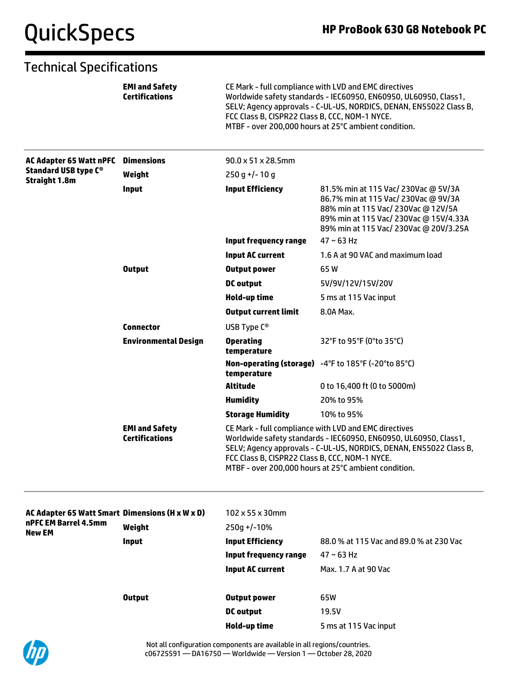|                                                     | <b>EMI and Safety</b><br><b>Certifications</b> | FCC Class B, CISPR22 Class B, CCC, NOM-1 NYCE.                                                                                                                                                                                                                                                            | CE Mark - full compliance with LVD and EMC directives<br>Worldwide safety standards - IEC60950, EN60950, UL60950, Class1,<br>SELV; Agency approvals - C-UL-US, NORDICS, DENAN, EN55022 Class B,<br>MTBF - over 200,000 hours at 25°C ambient condition. |
|-----------------------------------------------------|------------------------------------------------|-----------------------------------------------------------------------------------------------------------------------------------------------------------------------------------------------------------------------------------------------------------------------------------------------------------|---------------------------------------------------------------------------------------------------------------------------------------------------------------------------------------------------------------------------------------------------------|
| <b>AC Adapter 65 Watt nPFC</b>                      | <b>Dimensions</b>                              | $90.0 \times 51 \times 28.5$ mm                                                                                                                                                                                                                                                                           |                                                                                                                                                                                                                                                         |
| <b>Standard USB type C®</b><br><b>Straight 1.8m</b> | Weight                                         | $250q+/-10q$                                                                                                                                                                                                                                                                                              |                                                                                                                                                                                                                                                         |
|                                                     | <b>Input</b>                                   | <b>Input Efficiency</b>                                                                                                                                                                                                                                                                                   | 81.5% min at 115 Vac/ 230Vac @ 5V/3A<br>86.7% min at 115 Vac/ 230Vac @ 9V/3A<br>88% min at 115 Vac/ 230Vac @ 12V/5A<br>89% min at 115 Vac/ 230Vac @ 15V/4.33A<br>89% min at 115 Vac/ 230Vac @ 20V/3.25A                                                 |
|                                                     |                                                | <b>Input frequency range</b>                                                                                                                                                                                                                                                                              | $47 \sim 63$ Hz                                                                                                                                                                                                                                         |
|                                                     |                                                | <b>Input AC current</b>                                                                                                                                                                                                                                                                                   | 1.6 A at 90 VAC and maximum load                                                                                                                                                                                                                        |
|                                                     | <b>Output</b>                                  | <b>Output power</b>                                                                                                                                                                                                                                                                                       | 65W                                                                                                                                                                                                                                                     |
|                                                     |                                                | DC output                                                                                                                                                                                                                                                                                                 | 5V/9V/12V/15V/20V                                                                                                                                                                                                                                       |
|                                                     |                                                | Hold-up time                                                                                                                                                                                                                                                                                              | 5 ms at 115 Vac input                                                                                                                                                                                                                                   |
|                                                     |                                                | <b>Output current limit</b>                                                                                                                                                                                                                                                                               | 8.0A Max.                                                                                                                                                                                                                                               |
|                                                     | <b>Connector</b>                               | USB Type C <sup>®</sup>                                                                                                                                                                                                                                                                                   |                                                                                                                                                                                                                                                         |
|                                                     | <b>Environmental Design</b>                    | <b>Operating</b><br>temperature                                                                                                                                                                                                                                                                           | 32°F to 95°F (0°to 35°C)                                                                                                                                                                                                                                |
|                                                     |                                                | temperature                                                                                                                                                                                                                                                                                               | Non-operating (storage) -4°F to 185°F (-20°to 85°C)                                                                                                                                                                                                     |
|                                                     |                                                | <b>Altitude</b>                                                                                                                                                                                                                                                                                           | 0 to 16,400 ft (0 to 5000m)                                                                                                                                                                                                                             |
|                                                     |                                                | <b>Humidity</b>                                                                                                                                                                                                                                                                                           | 20% to 95%                                                                                                                                                                                                                                              |
|                                                     |                                                | <b>Storage Humidity</b>                                                                                                                                                                                                                                                                                   | 10% to 95%                                                                                                                                                                                                                                              |
|                                                     | <b>EMI and Safety</b><br><b>Certifications</b> | CE Mark - full compliance with LVD and EMC directives<br>Worldwide safety standards - IEC60950, EN60950, UL60950, Class1,<br>SELV; Agency approvals - C-UL-US, NORDICS, DENAN, EN55022 Class B,<br>FCC Class B, CISPR22 Class B, CCC, NOM-1 NYCE.<br>MTBF - over 200,000 hours at 25°C ambient condition. |                                                                                                                                                                                                                                                         |
| AC Adapter 65 Watt Smart Dimensions (H x W x D)     |                                                | 102 x 55 x 30mm                                                                                                                                                                                                                                                                                           |                                                                                                                                                                                                                                                         |
| nPFC EM Barrel 4.5mm<br><b>New EM</b>               | Weight                                         | 250g +/-10%                                                                                                                                                                                                                                                                                               |                                                                                                                                                                                                                                                         |
|                                                     | <b>Input</b>                                   | <b>Input Efficiency</b>                                                                                                                                                                                                                                                                                   | 88.0 % at 115 Vac and 89.0 % at 230 Vac                                                                                                                                                                                                                 |
|                                                     |                                                | <b>Input frequency range</b>                                                                                                                                                                                                                                                                              | $47 \sim 63$ Hz                                                                                                                                                                                                                                         |
|                                                     |                                                | <b>Input AC current</b>                                                                                                                                                                                                                                                                                   | Max. 1.7 A at 90 Vac                                                                                                                                                                                                                                    |
|                                                     | <b>Output</b>                                  | <b>Output power</b>                                                                                                                                                                                                                                                                                       | 65W                                                                                                                                                                                                                                                     |
|                                                     |                                                | <b>DC</b> output                                                                                                                                                                                                                                                                                          | 19.5V                                                                                                                                                                                                                                                   |
|                                                     |                                                | Hold-up time                                                                                                                                                                                                                                                                                              | 5 ms at 115 Vac input                                                                                                                                                                                                                                   |

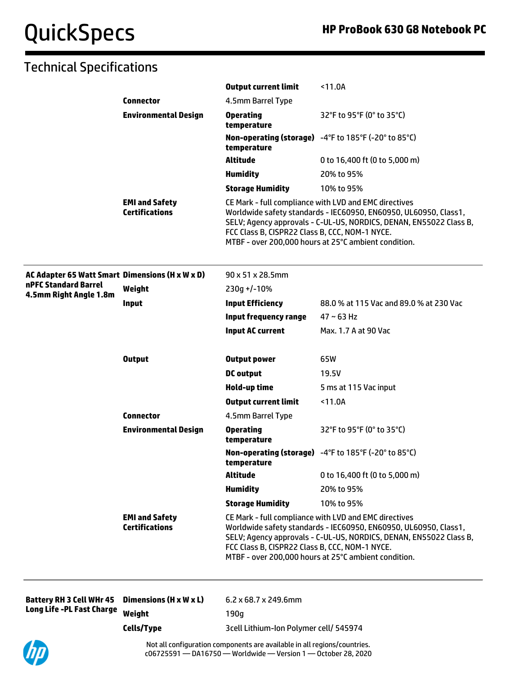## Technical Specifications

|                                                 |                                                | <b>Output current limit</b>                                                                                                                                                                                                                                                                               | $11.0A$                                                                                                                                                                                                                                                 |
|-------------------------------------------------|------------------------------------------------|-----------------------------------------------------------------------------------------------------------------------------------------------------------------------------------------------------------------------------------------------------------------------------------------------------------|---------------------------------------------------------------------------------------------------------------------------------------------------------------------------------------------------------------------------------------------------------|
|                                                 | <b>Connector</b>                               | 4.5mm Barrel Type                                                                                                                                                                                                                                                                                         |                                                                                                                                                                                                                                                         |
|                                                 | <b>Environmental Design</b>                    | <b>Operating</b><br>temperature                                                                                                                                                                                                                                                                           | 32°F to 95°F (0° to 35°C)                                                                                                                                                                                                                               |
|                                                 |                                                | temperature                                                                                                                                                                                                                                                                                               | Non-operating (storage) -4°F to 185°F (-20° to 85°C)                                                                                                                                                                                                    |
|                                                 |                                                | <b>Altitude</b>                                                                                                                                                                                                                                                                                           | 0 to 16,400 ft (0 to 5,000 m)                                                                                                                                                                                                                           |
|                                                 |                                                | <b>Humidity</b>                                                                                                                                                                                                                                                                                           | 20% to 95%                                                                                                                                                                                                                                              |
|                                                 |                                                | <b>Storage Humidity</b>                                                                                                                                                                                                                                                                                   | 10% to 95%                                                                                                                                                                                                                                              |
|                                                 | <b>EMI and Safety</b><br><b>Certifications</b> | FCC Class B, CISPR22 Class B, CCC, NOM-1 NYCE.                                                                                                                                                                                                                                                            | CE Mark - full compliance with LVD and EMC directives<br>Worldwide safety standards - IEC60950, EN60950, UL60950, Class1,<br>SELV; Agency approvals - C-UL-US, NORDICS, DENAN, EN55022 Class B,<br>MTBF - over 200,000 hours at 25°C ambient condition. |
| AC Adapter 65 Watt Smart Dimensions (H x W x D) |                                                | 90 x 51 x 28.5mm                                                                                                                                                                                                                                                                                          |                                                                                                                                                                                                                                                         |
| nPFC Standard Barrel<br>4.5mm Right Angle 1.8m  | Weight                                         | $230g + (-10%)$                                                                                                                                                                                                                                                                                           |                                                                                                                                                                                                                                                         |
|                                                 | <b>Input</b>                                   | <b>Input Efficiency</b>                                                                                                                                                                                                                                                                                   | 88.0 % at 115 Vac and 89.0 % at 230 Vac                                                                                                                                                                                                                 |
|                                                 |                                                | <b>Input frequency range</b>                                                                                                                                                                                                                                                                              | $47 - 63$ Hz                                                                                                                                                                                                                                            |
|                                                 |                                                | <b>Input AC current</b>                                                                                                                                                                                                                                                                                   | Max. 1.7 A at 90 Vac                                                                                                                                                                                                                                    |
|                                                 | <b>Output</b>                                  | <b>Output power</b>                                                                                                                                                                                                                                                                                       | 65W                                                                                                                                                                                                                                                     |
|                                                 |                                                | <b>DC</b> output                                                                                                                                                                                                                                                                                          | 19.5V                                                                                                                                                                                                                                                   |
|                                                 |                                                | Hold-up time                                                                                                                                                                                                                                                                                              | 5 ms at 115 Vac input                                                                                                                                                                                                                                   |
|                                                 |                                                | <b>Output current limit</b>                                                                                                                                                                                                                                                                               | < 11.0A                                                                                                                                                                                                                                                 |
|                                                 | <b>Connector</b>                               | 4.5mm Barrel Type                                                                                                                                                                                                                                                                                         |                                                                                                                                                                                                                                                         |
|                                                 | <b>Environmental Design</b>                    | <b>Operating</b><br>temperature                                                                                                                                                                                                                                                                           | 32°F to 95°F (0° to 35°C)                                                                                                                                                                                                                               |
|                                                 |                                                | temperature                                                                                                                                                                                                                                                                                               | Non-operating (storage) -4°F to 185°F (-20° to 85°C)                                                                                                                                                                                                    |
|                                                 |                                                | <b>Altitude</b>                                                                                                                                                                                                                                                                                           | 0 to 16,400 ft (0 to 5,000 m)                                                                                                                                                                                                                           |
|                                                 |                                                | <b>Humidity</b>                                                                                                                                                                                                                                                                                           | 20% to 95%                                                                                                                                                                                                                                              |
|                                                 |                                                | <b>Storage Humidity</b>                                                                                                                                                                                                                                                                                   | 10% to 95%                                                                                                                                                                                                                                              |
|                                                 | <b>EMI and Safety</b><br><b>Certifications</b> | CE Mark - full compliance with LVD and EMC directives<br>Worldwide safety standards - IEC60950, EN60950, UL60950, Class1,<br>SELV; Agency approvals - C-UL-US, NORDICS, DENAN, EN55022 Class B,<br>FCC Class B, CISPR22 Class B, CCC, NOM-1 NYCE.<br>MTBF - over 200,000 hours at 25°C ambient condition. |                                                                                                                                                                                                                                                         |

| Battery RH 3 Cell WHr 45 Dimensions (H x W x L) |            | $6.2 \times 68.7 \times 249.6$ mm      |
|-------------------------------------------------|------------|----------------------------------------|
| Long Life -PL Fast Charge <sub>Weight</sub>     |            | 190a                                   |
|                                                 | Cells/Type | 3cell Lithium-Ion Polymer cell/ 545974 |

Not all configuration components are available in all regions/countries. c06725591 — DA16750 — Worldwide — Version 1 — October 28, 2020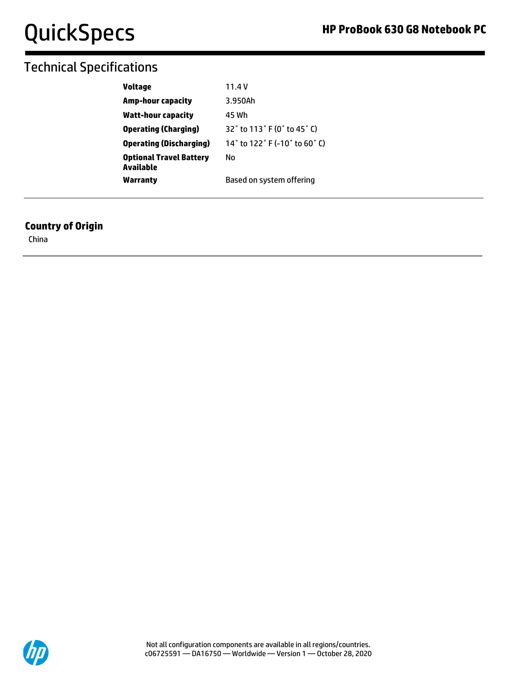## Technical Specifications

| <b>Voltage</b>                              | 11.4V                         |
|---------------------------------------------|-------------------------------|
| <b>Amp-hour capacity</b>                    | 3.950Ah                       |
| Watt-hour capacity                          | 45 Wh                         |
| <b>Operating (Charging)</b>                 | 32° to 113° F (0° to 45° C)   |
| <b>Operating (Discharging)</b>              | 14° to 122° F (-10° to 60° C) |
| <b>Optional Travel Battery</b><br>Available | Nο                            |
| Warranty                                    | Based on system offering      |

#### **Country of Origin**

China

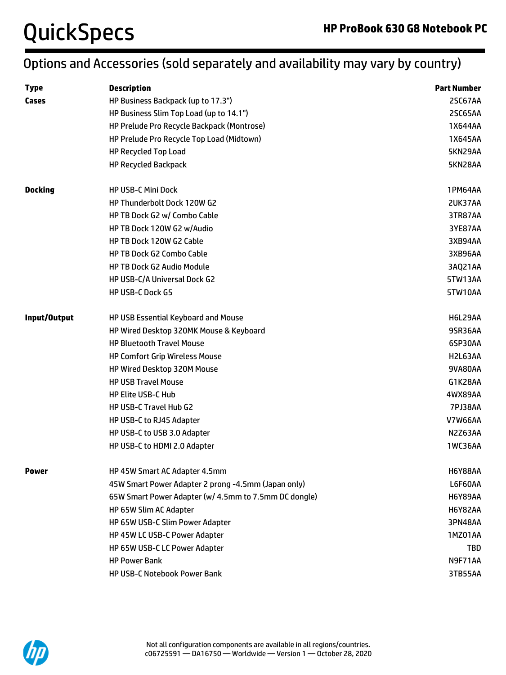## Options and Accessories (sold separately and availability may vary by country)

| <b>Type</b>    | <b>Description</b>                                    | <b>Part Number</b> |
|----------------|-------------------------------------------------------|--------------------|
| Cases          | HP Business Backpack (up to 17.3")                    | 2SC67AA            |
|                | HP Business Slim Top Load (up to 14.1")               | 2SC65AA            |
|                | HP Prelude Pro Recycle Backpack (Montrose)            | 1X644AA            |
|                | HP Prelude Pro Recycle Top Load (Midtown)             | 1X645AA            |
|                | <b>HP Recycled Top Load</b>                           | 5KN29AA            |
|                | <b>HP Recycled Backpack</b>                           | 5KN28AA            |
| <b>Docking</b> | <b>HP USB-C Mini Dock</b>                             | 1PM64AA            |
|                | HP Thunderbolt Dock 120W G2                           | 2UK37AA            |
|                | HP TB Dock G2 w/ Combo Cable                          | 3TR87AA            |
|                | HP TB Dock 120W G2 w/Audio                            | 3YE87AA            |
|                | HP TB Dock 120W G2 Cable                              | 3XB94AA            |
|                | HP TB Dock G2 Combo Cable                             | 3XB96AA            |
|                | <b>HP TB Dock G2 Audio Module</b>                     | 3AQ21AA            |
|                | HP USB-C/A Universal Dock G2                          | 5TW13AA            |
|                | <b>HP USB-C Dock G5</b>                               | <b>5TW10AA</b>     |
| Input/Output   | HP USB Essential Keyboard and Mouse                   | <b>H6L29AA</b>     |
|                | HP Wired Desktop 320MK Mouse & Keyboard               | 9SR36AA            |
|                | <b>HP Bluetooth Travel Mouse</b>                      | 6SP30AA            |
|                | <b>HP Comfort Grip Wireless Mouse</b>                 | H2L63AA            |
|                | HP Wired Desktop 320M Mouse                           | 9VA80AA            |
|                | <b>HP USB Travel Mouse</b>                            | G1K28AA            |
|                | HP Elite USB-C Hub                                    | 4WX89AA            |
|                | HP USB-C Travel Hub G2                                | <b>7PJ38AA</b>     |
|                | HP USB-C to RJ45 Adapter                              | <b>V7W66AA</b>     |
|                | HP USB-C to USB 3.0 Adapter                           | N2Z63AA            |
|                | HP USB-C to HDMI 2.0 Adapter                          | 1WC36AA            |
| <b>Power</b>   | HP 45W Smart AC Adapter 4.5mm                         | <b>H6Y88AA</b>     |
|                | 45W Smart Power Adapter 2 prong -4.5mm (Japan only)   | L6F60AA            |
|                | 65W Smart Power Adapter (w/ 4.5mm to 7.5mm DC dongle) | <b>H6Y89AA</b>     |
|                | HP 65W Slim AC Adapter                                | <b>H6Y82AA</b>     |
|                | HP 65W USB-C Slim Power Adapter                       | 3PN48AA            |
|                | HP 45W LC USB-C Power Adapter                         | 1MZ01AA            |
|                | HP 65W USB-C LC Power Adapter                         | <b>TBD</b>         |
|                | <b>HP Power Bank</b>                                  | N9F71AA            |
|                | <b>HP USB-C Notebook Power Bank</b>                   | 3TB55AA            |

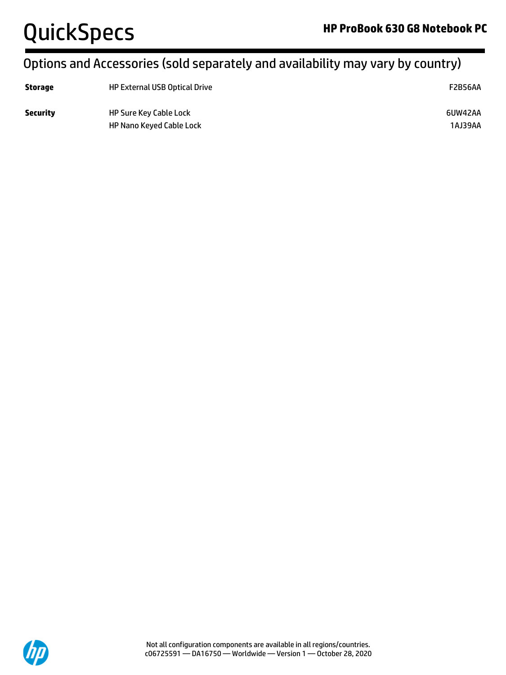## Options and Accessories (sold separately and availability may vary by country)

| <b>Storage</b>  | <b>HP External USB Optical Drive</b>                      |                    |
|-----------------|-----------------------------------------------------------|--------------------|
| <b>Security</b> | <b>HP Sure Key Cable Lock</b><br>HP Nano Keyed Cable Lock | 6UW42AA<br>1AJ39AA |